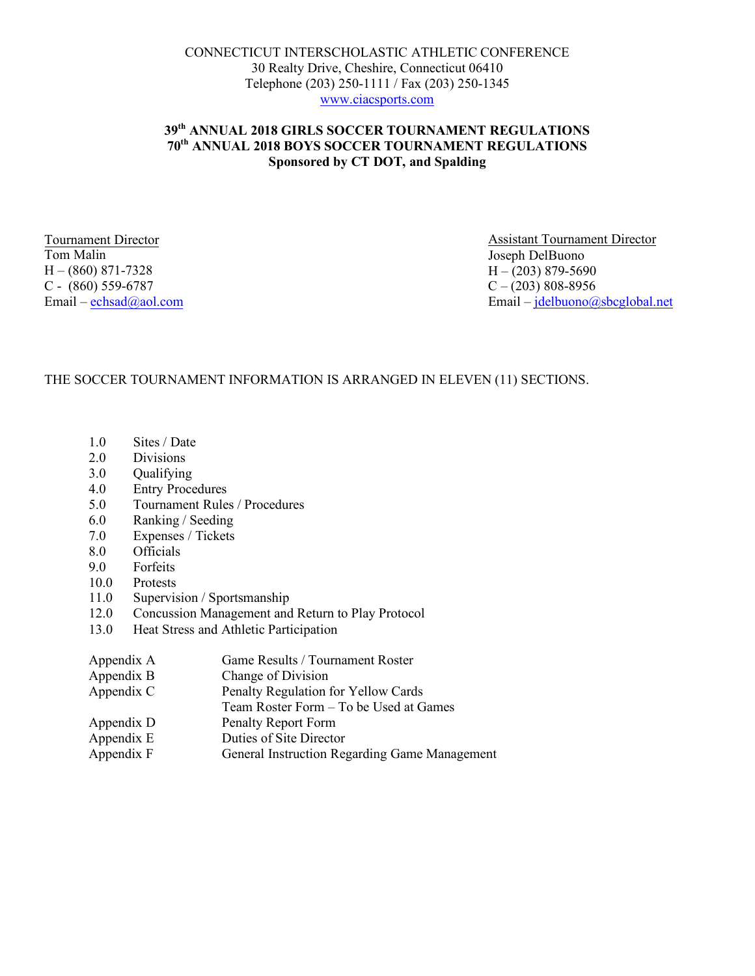# **39th ANNUAL 2018 GIRLS SOCCER TOURNAMENT REGULATIONS 70th ANNUAL 2018 BOYS SOCCER TOURNAMENT REGULATIONS Sponsored by CT DOT, and Spalding**

Tournament Director Tom Malin  $H - (860) 871 - 7328$ C - (860) 559-6787

Assistant Tournament Director Joseph DelBuono  $H - (203) 879 - 5690$  $C - (203) 808 - 8956$ Email – echsad@aol.com Email – jdelbuono@sbcglobal.net

# THE SOCCER TOURNAMENT INFORMATION IS ARRANGED IN ELEVEN (11) SECTIONS.

- 1.0 Sites / Date
- 2.0 Divisions
- 3.0 Qualifying
- 4.0 Entry Procedures
- 5.0 Tournament Rules / Procedures
- 6.0 Ranking / Seeding
- 7.0 Expenses / Tickets
- 8.0 Officials
- 9.0 Forfeits
- 10.0 Protests
- 11.0 Supervision / Sportsmanship
- 12.0 Concussion Management and Return to Play Protocol
- 13.0 Heat Stress and Athletic Participation
- Appendix A Game Results / Tournament Roster Appendix B Change of Division Appendix C Penalty Regulation for Yellow Cards Team Roster Form – To be Used at Games
- Appendix D Penalty Report Form
- Appendix E Duties of Site Director
- Appendix F General Instruction Regarding Game Management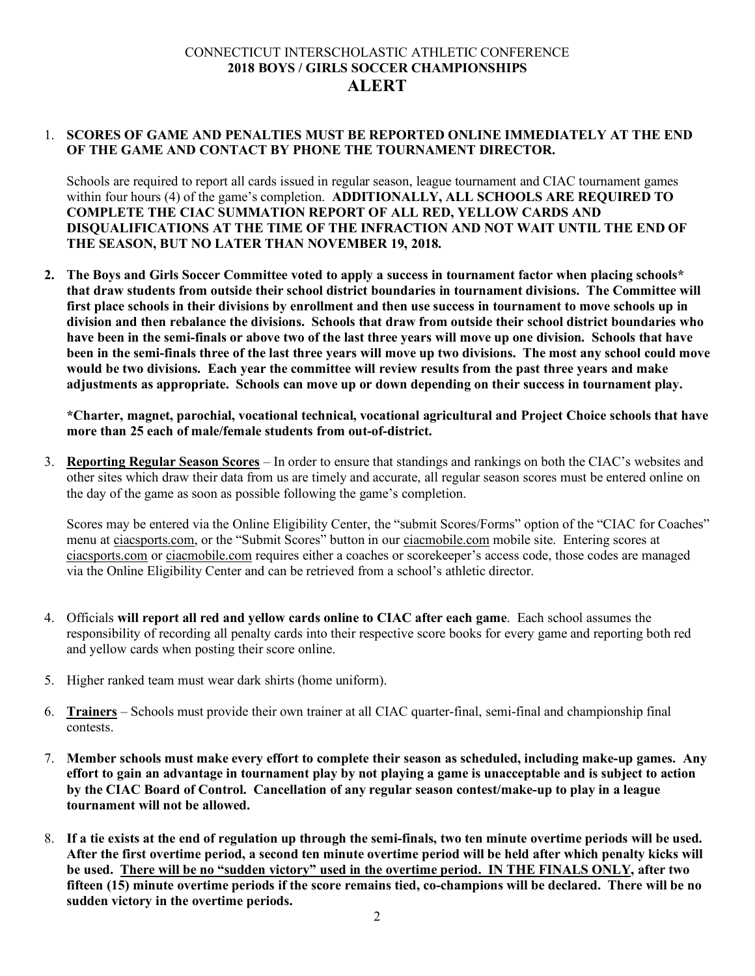# CONNECTICUT INTERSCHOLASTIC ATHLETIC CONFERENCE **2018 BOYS / GIRLS SOCCER CHAMPIONSHIPS ALERT**

## 1. **SCORES OF GAME AND PENALTIES MUST BE REPORTED ONLINE IMMEDIATELY AT THE END OF THE GAME AND CONTACT BY PHONE THE TOURNAMENT DIRECTOR.**

Schools are required to report all cards issued in regular season, league tournament and CIAC tournament games within four hours (4) of the game's completion. **ADDITIONALLY, ALL SCHOOLS ARE REQUIRED TO COMPLETE THE CIAC SUMMATION REPORT OF ALL RED, YELLOW CARDS AND DISQUALIFICATIONS AT THE TIME OF THE INFRACTION AND NOT WAIT UNTIL THE END OF THE SEASON, BUT NO LATER THAN NOVEMBER 19, 2018.**

**2. The Boys and Girls Soccer Committee voted to apply a success in tournament factor when placing schools\* that draw students from outside their school district boundaries in tournament divisions. The Committee will first place schools in their divisions by enrollment and then use success in tournament to move schools up in division and then rebalance the divisions. Schools that draw from outside their school district boundaries who have been in the semi-finals or above two of the last three years will move up one division. Schools that have been in the semi-finals three of the last three years will move up two divisions. The most any school could move would be two divisions. Each year the committee will review results from the past three years and make adjustments as appropriate. Schools can move up or down depending on their success in tournament play.**

**\*Charter, magnet, parochial, vocational technical, vocational agricultural and Project Choice schools that have more than 25 each of male/female students from out-of-district.**

3. **Reporting Regular Season Scores** – In order to ensure that standings and rankings on both the CIAC's websites and other sites which draw their data from us are timely and accurate, all regular season scores must be entered online on the day of the game as soon as possible following the game's completion.

Scores may be entered via the Online Eligibility Center, the "submit Scores/Forms" option of the "CIAC for Coaches" menu at ciacsports.com, or the "Submit Scores" button in our ciacmobile.com mobile site. Entering scores at ciacsports.com or ciacmobile.com requires either a coaches or scorekeeper's access code, those codes are managed via the Online Eligibility Center and can be retrieved from a school's athletic director.

- 4. Officials **will report all red and yellow cards online to CIAC after each game**. Each school assumes the responsibility of recording all penalty cards into their respective score books for every game and reporting both red and yellow cards when posting their score online.
- 5. Higher ranked team must wear dark shirts (home uniform).
- 6. **Trainers** Schools must provide their own trainer at all CIAC quarter-final, semi-final and championship final contests.
- 7. **Member schools must make every effort to complete their season as scheduled, including make-up games. Any effort to gain an advantage in tournament play by not playing a game is unacceptable and is subject to action by the CIAC Board of Control. Cancellation of any regular season contest/make-up to play in a league tournament will not be allowed.**
- 8. **If a tie exists at the end of regulation up through the semi-finals, two ten minute overtime periods will be used. After the first overtime period, a second ten minute overtime period will be held after which penalty kicks will be used. There will be no "sudden victory" used in the overtime period. IN THE FINALS ONLY, after two fifteen (15) minute overtime periods if the score remains tied, co-champions will be declared. There will be no sudden victory in the overtime periods.**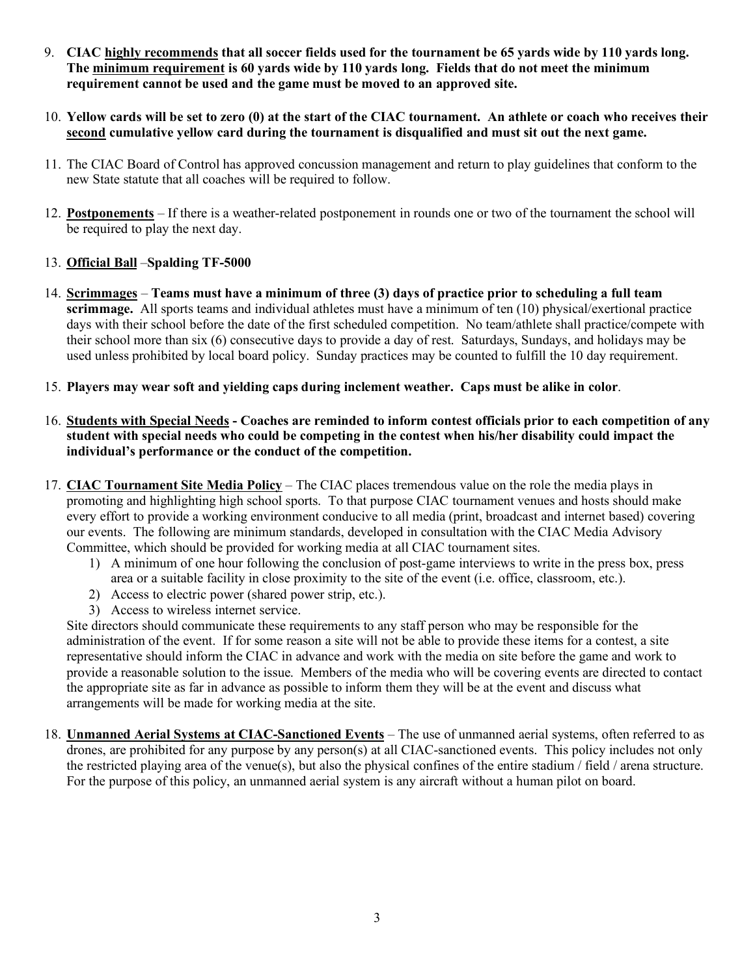- 9. **CIAC highly recommends that all soccer fields used for the tournament be 65 yards wide by 110 yards long. The minimum requirement is 60 yards wide by 110 yards long. Fields that do not meet the minimum requirement cannot be used and the game must be moved to an approved site.**
- 10. **Yellow cards will be set to zero (0) at the start of the CIAC tournament. An athlete or coach who receives their second cumulative yellow card during the tournament is disqualified and must sit out the next game.**
- 11. The CIAC Board of Control has approved concussion management and return to play guidelines that conform to the new State statute that all coaches will be required to follow.
- 12. **Postponements** If there is a weather-related postponement in rounds one or two of the tournament the school will be required to play the next day.

# 13. **Official Ball** –**Spalding TF-5000**

- 14. **Scrimmages Teams must have a minimum of three (3) days of practice prior to scheduling a full team scrimmage.** All sports teams and individual athletes must have a minimum of ten (10) physical/exertional practice days with their school before the date of the first scheduled competition. No team/athlete shall practice/compete with their school more than six (6) consecutive days to provide a day of rest. Saturdays, Sundays, and holidays may be used unless prohibited by local board policy. Sunday practices may be counted to fulfill the 10 day requirement.
- 15. **Players may wear soft and yielding caps during inclement weather. Caps must be alike in color**.
- 16. **Students with Special Needs - Coaches are reminded to inform contest officials prior to each competition of any student with special needs who could be competing in the contest when his/her disability could impact the individual's performance or the conduct of the competition.**
- 17. **CIAC Tournament Site Media Policy** The CIAC places tremendous value on the role the media plays in promoting and highlighting high school sports. To that purpose CIAC tournament venues and hosts should make every effort to provide a working environment conducive to all media (print, broadcast and internet based) covering our events. The following are minimum standards, developed in consultation with the CIAC Media Advisory Committee, which should be provided for working media at all CIAC tournament sites.
	- 1) A minimum of one hour following the conclusion of post-game interviews to write in the press box, press area or a suitable facility in close proximity to the site of the event (i.e. office, classroom, etc.).
	- 2) Access to electric power (shared power strip, etc.).
	- 3) Access to wireless internet service.

Site directors should communicate these requirements to any staff person who may be responsible for the administration of the event. If for some reason a site will not be able to provide these items for a contest, a site representative should inform the CIAC in advance and work with the media on site before the game and work to provide a reasonable solution to the issue. Members of the media who will be covering events are directed to contact the appropriate site as far in advance as possible to inform them they will be at the event and discuss what arrangements will be made for working media at the site.

18. **Unmanned Aerial Systems at CIAC-Sanctioned Events** – The use of unmanned aerial systems, often referred to as drones, are prohibited for any purpose by any person(s) at all CIAC-sanctioned events. This policy includes not only the restricted playing area of the venue(s), but also the physical confines of the entire stadium / field / arena structure. For the purpose of this policy, an unmanned aerial system is any aircraft without a human pilot on board.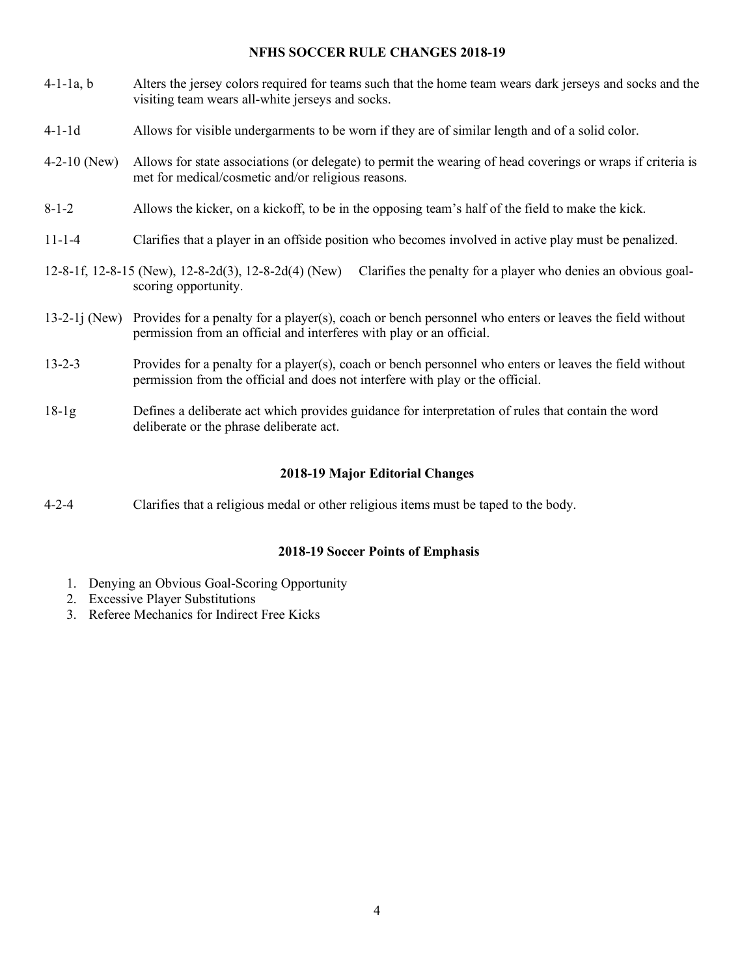#### **NFHS SOCCER RULE CHANGES 2018-19**

- 4-1-1a, b Alters the jersey colors required for teams such that the home team wears dark jerseys and socks and the visiting team wears all-white jerseys and socks.
- 4-1-1d Allows for visible undergarments to be worn if they are of similar length and of a solid color.
- 4-2-10 (New) Allows for state associations (or delegate) to permit the wearing of head coverings or wraps if criteria is met for medical/cosmetic and/or religious reasons.
- 8-1-2 Allows the kicker, on a kickoff, to be in the opposing team's half of the field to make the kick.
- 11-1-4 Clarifies that a player in an offside position who becomes involved in active play must be penalized.
- 12-8-1f, 12-8-15 (New), 12-8-2d(3), 12-8-2d(4) (New) Clarifies the penalty for a player who denies an obvious goalscoring opportunity.
- 13-2-1j (New) Provides for a penalty for a player(s), coach or bench personnel who enters or leaves the field without permission from an official and interferes with play or an official.
- 13-2-3 Provides for a penalty for a player(s), coach or bench personnel who enters or leaves the field without permission from the official and does not interfere with play or the official.
- 18-1g Defines a deliberate act which provides guidance for interpretation of rules that contain the word deliberate or the phrase deliberate act.

#### **2018-19 Major Editorial Changes**

4-2-4 Clarifies that a religious medal or other religious items must be taped to the body.

#### **2018-19 Soccer Points of Emphasis**

- 1. Denying an Obvious Goal-Scoring Opportunity
- 2. Excessive Player Substitutions
- 3. Referee Mechanics for Indirect Free Kicks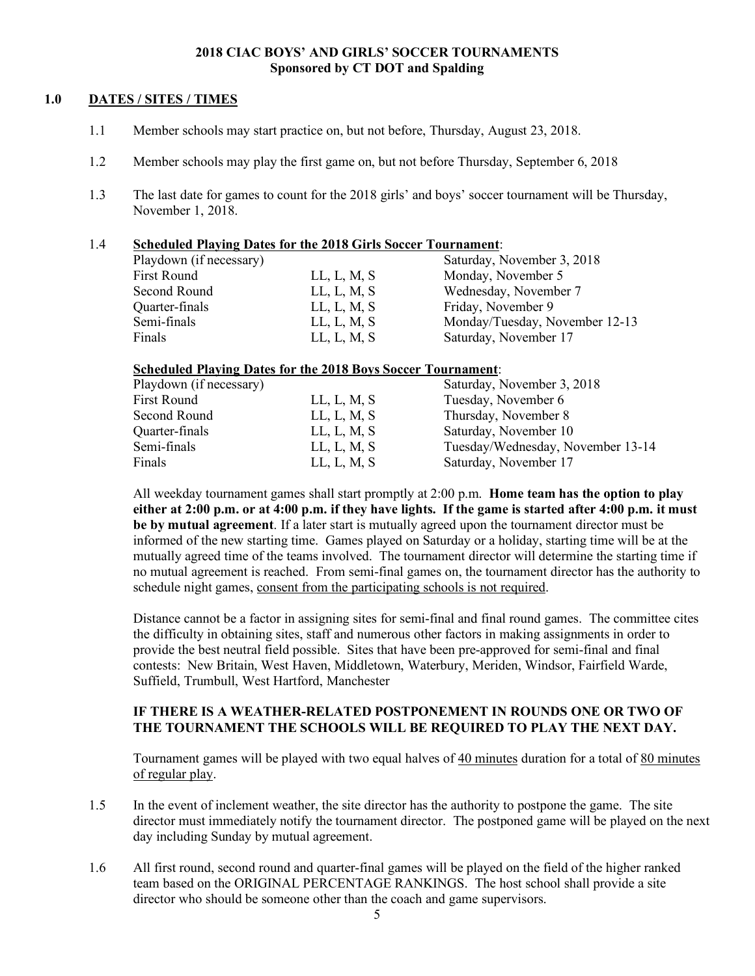#### **2018 CIAC BOYS' AND GIRLS' SOCCER TOURNAMENTS Sponsored by CT DOT and Spalding**

## **1.0 DATES / SITES / TIMES**

- 1.1 Member schools may start practice on, but not before, Thursday, August 23, 2018.
- 1.2 Member schools may play the first game on, but not before Thursday, September 6, 2018
- 1.3 The last date for games to count for the 2018 girls' and boys' soccer tournament will be Thursday, November 1, 2018.

#### 1.4 **Scheduled Playing Dates for the 2018 Girls Soccer Tournament**:

| Playdown (if necessary) |             | Saturday, November 3, 2018     |
|-------------------------|-------------|--------------------------------|
| First Round             | LL, L, M, S | Monday, November 5             |
| Second Round            | LL, L, M, S | Wednesday, November 7          |
| Quarter-finals          | LL, L, M, S | Friday, November 9             |
| Semi-finals             | LL, L, M, S | Monday/Tuesday, November 12-13 |
| Finals                  | LL, L, M, S | Saturday, November 17          |

#### **Scheduled Playing Dates for the 2018 Boys Soccer Tournament**:

| Playdown (if necessary) |             | Saturday, November 3, 2018        |
|-------------------------|-------------|-----------------------------------|
| <b>First Round</b>      | LL, L, M, S | Tuesday, November 6               |
| Second Round            | LL, L, M, S | Thursday, November 8              |
| Quarter-finals          | LL, L, M, S | Saturday, November 10             |
| Semi-finals             | LL, L, M, S | Tuesday/Wednesday, November 13-14 |
| Finals                  | LL, L, M, S | Saturday, November 17             |
|                         |             |                                   |

All weekday tournament games shall start promptly at 2:00 p.m. **Home team has the option to play either at 2:00 p.m. or at 4:00 p.m. if they have lights. If the game is started after 4:00 p.m. it must be by mutual agreement**. If a later start is mutually agreed upon the tournament director must be informed of the new starting time. Games played on Saturday or a holiday, starting time will be at the mutually agreed time of the teams involved. The tournament director will determine the starting time if no mutual agreement is reached. From semi-final games on, the tournament director has the authority to schedule night games, consent from the participating schools is not required.

Distance cannot be a factor in assigning sites for semi-final and final round games. The committee cites the difficulty in obtaining sites, staff and numerous other factors in making assignments in order to provide the best neutral field possible. Sites that have been pre-approved for semi-final and final contests: New Britain, West Haven, Middletown, Waterbury, Meriden, Windsor, Fairfield Warde, Suffield, Trumbull, West Hartford, Manchester

## **IF THERE IS A WEATHER-RELATED POSTPONEMENT IN ROUNDS ONE OR TWO OF THE TOURNAMENT THE SCHOOLS WILL BE REQUIRED TO PLAY THE NEXT DAY.**

Tournament games will be played with two equal halves of 40 minutes duration for a total of 80 minutes of regular play.

- 1.5 In the event of inclement weather, the site director has the authority to postpone the game. The site director must immediately notify the tournament director. The postponed game will be played on the next day including Sunday by mutual agreement.
- 1.6 All first round, second round and quarter-final games will be played on the field of the higher ranked team based on the ORIGINAL PERCENTAGE RANKINGS. The host school shall provide a site director who should be someone other than the coach and game supervisors.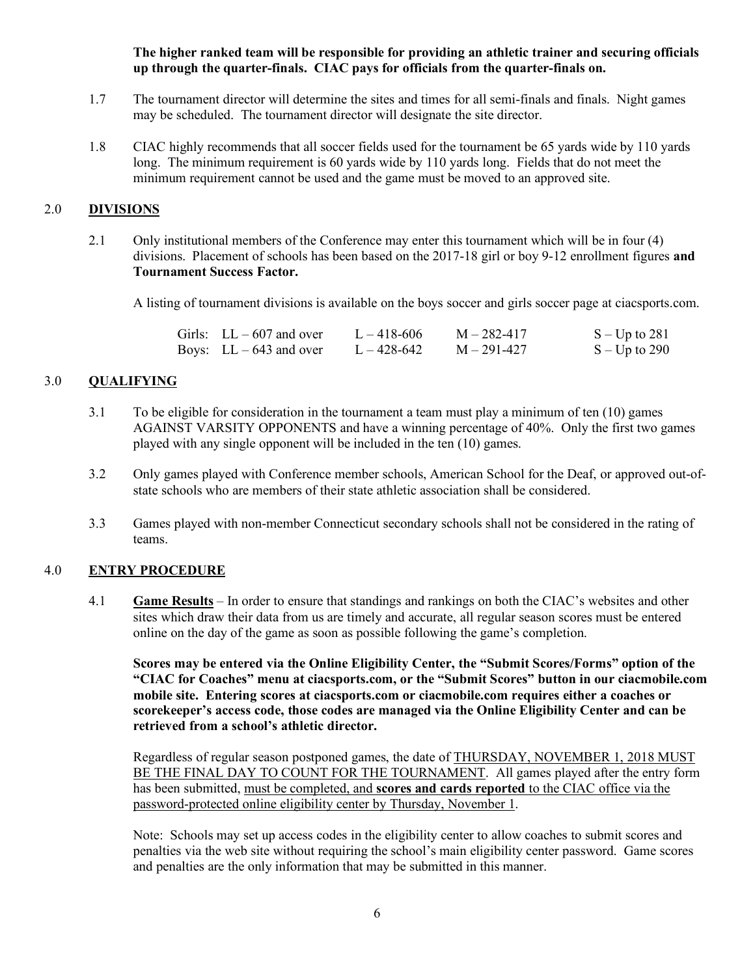#### **The higher ranked team will be responsible for providing an athletic trainer and securing officials up through the quarter-finals. CIAC pays for officials from the quarter-finals on.**

- 1.7 The tournament director will determine the sites and times for all semi-finals and finals. Night games may be scheduled. The tournament director will designate the site director.
- 1.8 CIAC highly recommends that all soccer fields used for the tournament be 65 yards wide by 110 yards long. The minimum requirement is 60 yards wide by 110 yards long. Fields that do not meet the minimum requirement cannot be used and the game must be moved to an approved site.

# 2.0 **DIVISIONS**

2.1 Only institutional members of the Conference may enter this tournament which will be in four (4) divisions. Placement of schools has been based on the 2017-18 girl or boy 9-12 enrollment figures **and Tournament Success Factor.**

A listing of tournament divisions is available on the boys soccer and girls soccer page at ciacsports.com.

| Girls: $LL - 607$ and over | $L = 418 - 606$ | $M - 282 - 417$ | $S-Up$ to 281   |
|----------------------------|-----------------|-----------------|-----------------|
| Boys: $LL - 643$ and over  | $L - 428 - 642$ | $M - 291 - 427$ | $S - Up$ to 290 |

# 3.0 **QUALIFYING**

- 3.1 To be eligible for consideration in the tournament a team must play a minimum of ten (10) games AGAINST VARSITY OPPONENTS and have a winning percentage of 40%. Only the first two games played with any single opponent will be included in the ten (10) games.
- 3.2 Only games played with Conference member schools, American School for the Deaf, or approved out-ofstate schools who are members of their state athletic association shall be considered.
- 3.3 Games played with non-member Connecticut secondary schools shall not be considered in the rating of teams.

#### 4.0 **ENTRY PROCEDURE**

4.1 **Game Results** – In order to ensure that standings and rankings on both the CIAC's websites and other sites which draw their data from us are timely and accurate, all regular season scores must be entered online on the day of the game as soon as possible following the game's completion.

**Scores may be entered via the Online Eligibility Center, the "Submit Scores/Forms" option of the "CIAC for Coaches" menu at ciacsports.com, or the "Submit Scores" button in our ciacmobile.com mobile site. Entering scores at ciacsports.com or ciacmobile.com requires either a coaches or scorekeeper's access code, those codes are managed via the Online Eligibility Center and can be retrieved from a school's athletic director.**

Regardless of regular season postponed games, the date of THURSDAY, NOVEMBER 1, 2018 MUST BE THE FINAL DAY TO COUNT FOR THE TOURNAMENT. All games played after the entry form has been submitted, must be completed, and **scores and cards reported** to the CIAC office via the password-protected online eligibility center by Thursday, November 1.

Note: Schools may set up access codes in the eligibility center to allow coaches to submit scores and penalties via the web site without requiring the school's main eligibility center password. Game scores and penalties are the only information that may be submitted in this manner.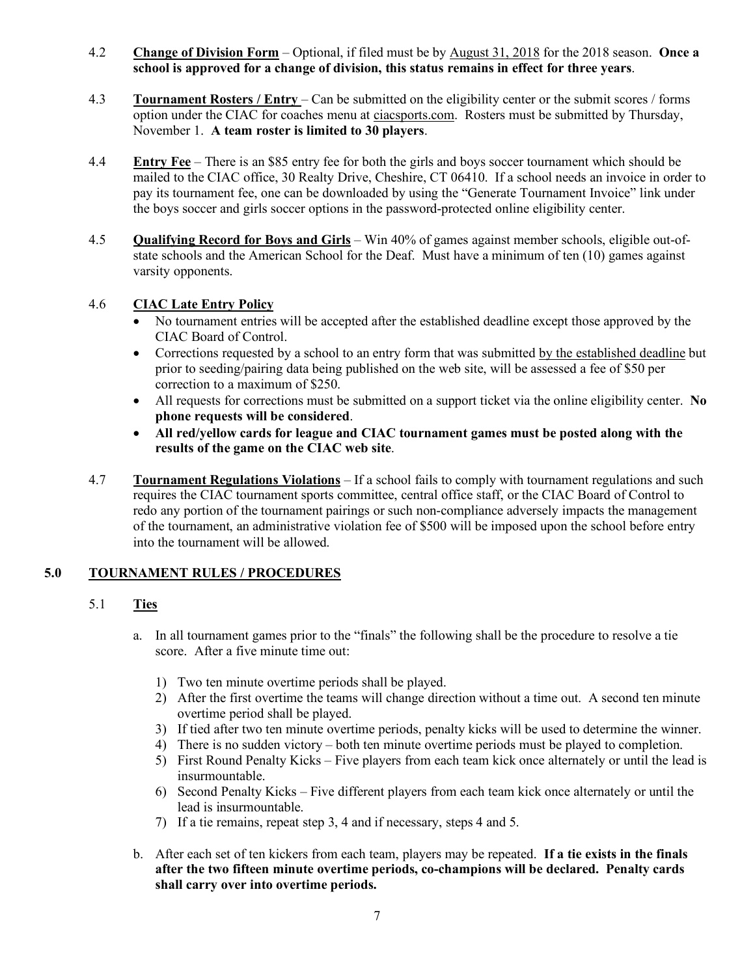### 4.2 **Change of Division Form** – Optional, if filed must be by August 31, 2018 for the 2018 season. **Once a school is approved for a change of division, this status remains in effect for three years**.

- 4.3 **Tournament Rosters / Entry** Can be submitted on the eligibility center or the submit scores / forms option under the CIAC for coaches menu at ciacsports.com. Rosters must be submitted by Thursday, November 1. **A team roster is limited to 30 players**.
- 4.4 **Entry Fee** There is an \$85 entry fee for both the girls and boys soccer tournament which should be mailed to the CIAC office, 30 Realty Drive, Cheshire, CT 06410. If a school needs an invoice in order to pay its tournament fee, one can be downloaded by using the "Generate Tournament Invoice" link under the boys soccer and girls soccer options in the password-protected online eligibility center.
- 4.5 **Qualifying Record for Boys and Girls** Win 40% of games against member schools, eligible out-ofstate schools and the American School for the Deaf. Must have a minimum of ten (10) games against varsity opponents.

# 4.6 **CIAC Late Entry Policy**

- No tournament entries will be accepted after the established deadline except those approved by the CIAC Board of Control.
- Corrections requested by a school to an entry form that was submitted by the established deadline but prior to seeding/pairing data being published on the web site, will be assessed a fee of \$50 per correction to a maximum of \$250.
- All requests for corrections must be submitted on a support ticket via the online eligibility center. **No phone requests will be considered**.
- **All red/yellow cards for league and CIAC tournament games must be posted along with the results of the game on the CIAC web site**.
- 4.7 **Tournament Regulations Violations** If a school fails to comply with tournament regulations and such requires the CIAC tournament sports committee, central office staff, or the CIAC Board of Control to redo any portion of the tournament pairings or such non-compliance adversely impacts the management of the tournament, an administrative violation fee of \$500 will be imposed upon the school before entry into the tournament will be allowed.

# **5.0 TOURNAMENT RULES / PROCEDURES**

# 5.1 **Ties**

- a. In all tournament games prior to the "finals" the following shall be the procedure to resolve a tie score. After a five minute time out:
	- 1) Two ten minute overtime periods shall be played.
	- 2) After the first overtime the teams will change direction without a time out. A second ten minute overtime period shall be played.
	- 3) If tied after two ten minute overtime periods, penalty kicks will be used to determine the winner.
	- 4) There is no sudden victory both ten minute overtime periods must be played to completion.
	- 5) First Round Penalty Kicks Five players from each team kick once alternately or until the lead is insurmountable.
	- 6) Second Penalty Kicks Five different players from each team kick once alternately or until the lead is insurmountable.
	- 7) If a tie remains, repeat step 3, 4 and if necessary, steps 4 and 5.
- b. After each set of ten kickers from each team, players may be repeated. **If a tie exists in the finals after the two fifteen minute overtime periods, co-champions will be declared. Penalty cards shall carry over into overtime periods.**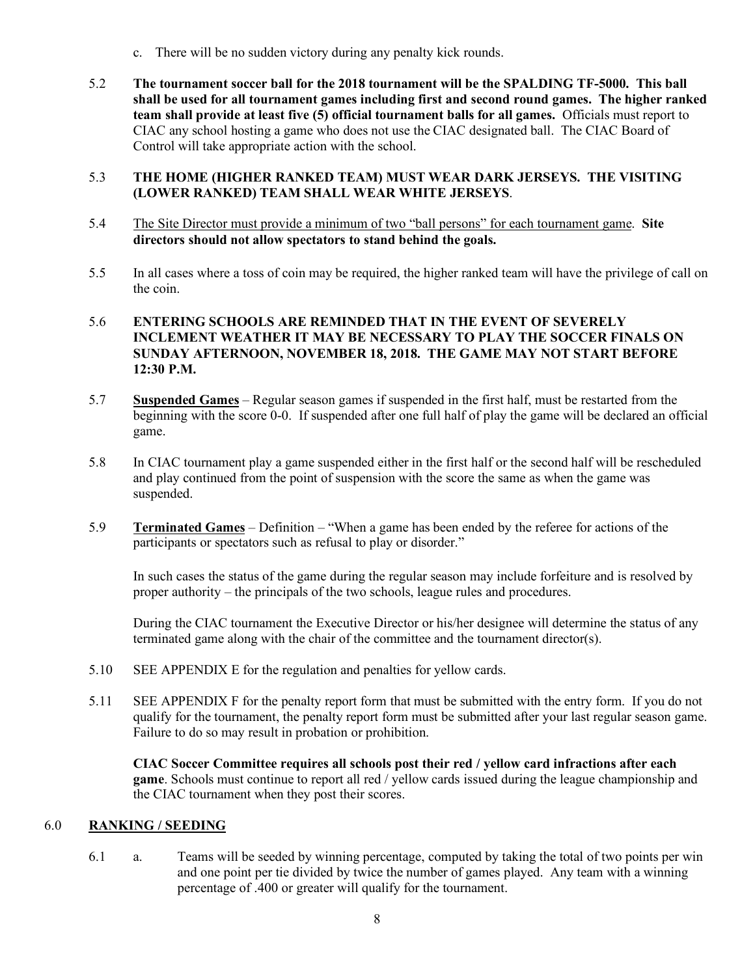- c. There will be no sudden victory during any penalty kick rounds.
- 5.2 **The tournament soccer ball for the 2018 tournament will be the SPALDING TF-5000. This ball shall be used for all tournament games including first and second round games. The higher ranked team shall provide at least five (5) official tournament balls for all games.** Officials must report to CIAC any school hosting a game who does not use the CIAC designated ball. The CIAC Board of Control will take appropriate action with the school.

# 5.3 **THE HOME (HIGHER RANKED TEAM) MUST WEAR DARK JERSEYS. THE VISITING (LOWER RANKED) TEAM SHALL WEAR WHITE JERSEYS**.

- 5.4 The Site Director must provide a minimum of two "ball persons" for each tournament game. **Site directors should not allow spectators to stand behind the goals.**
- 5.5 In all cases where a toss of coin may be required, the higher ranked team will have the privilege of call on the coin.

## 5.6 **ENTERING SCHOOLS ARE REMINDED THAT IN THE EVENT OF SEVERELY INCLEMENT WEATHER IT MAY BE NECESSARY TO PLAY THE SOCCER FINALS ON SUNDAY AFTERNOON, NOVEMBER 18, 2018. THE GAME MAY NOT START BEFORE 12:30 P.M.**

- 5.7 **Suspended Games** Regular season games if suspended in the first half, must be restarted from the beginning with the score 0-0. If suspended after one full half of play the game will be declared an official game.
- 5.8 In CIAC tournament play a game suspended either in the first half or the second half will be rescheduled and play continued from the point of suspension with the score the same as when the game was suspended.
- 5.9 **Terminated Games** Definition "When a game has been ended by the referee for actions of the participants or spectators such as refusal to play or disorder."

In such cases the status of the game during the regular season may include forfeiture and is resolved by proper authority – the principals of the two schools, league rules and procedures.

During the CIAC tournament the Executive Director or his/her designee will determine the status of any terminated game along with the chair of the committee and the tournament director(s).

- 5.10 SEE APPENDIX E for the regulation and penalties for yellow cards.
- 5.11 SEE APPENDIX F for the penalty report form that must be submitted with the entry form. If you do not qualify for the tournament, the penalty report form must be submitted after your last regular season game. Failure to do so may result in probation or prohibition.

**CIAC Soccer Committee requires all schools post their red / yellow card infractions after each game**. Schools must continue to report all red / yellow cards issued during the league championship and the CIAC tournament when they post their scores.

# 6.0 **RANKING / SEEDING**

6.1 a. Teams will be seeded by winning percentage, computed by taking the total of two points per win and one point per tie divided by twice the number of games played. Any team with a winning percentage of .400 or greater will qualify for the tournament.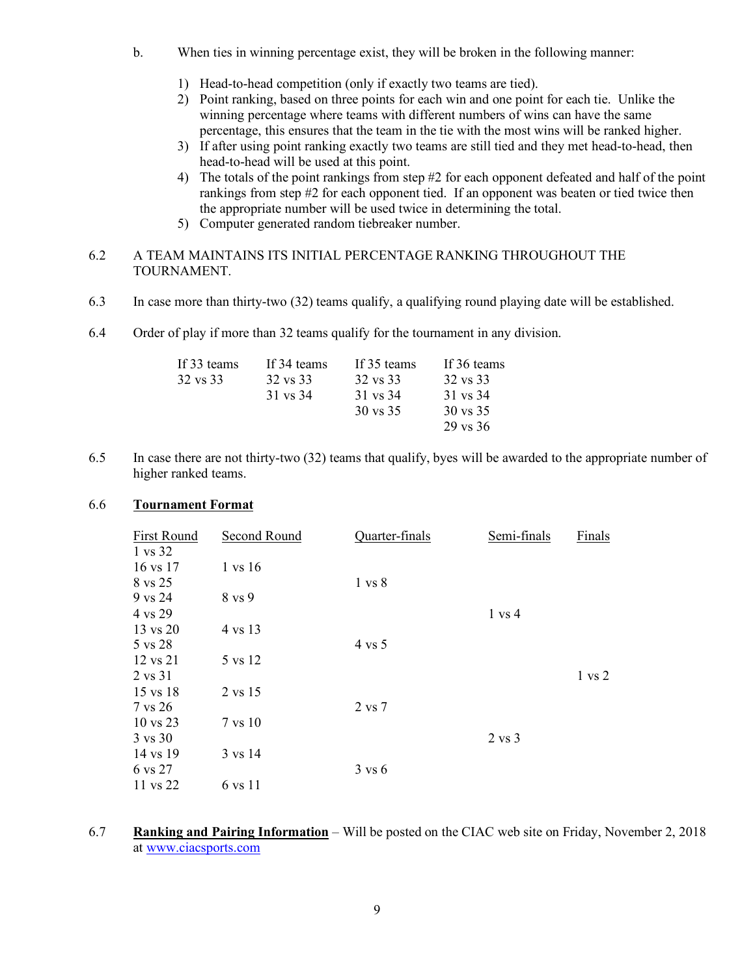- b. When ties in winning percentage exist, they will be broken in the following manner:
	- 1) Head-to-head competition (only if exactly two teams are tied).
	- 2) Point ranking, based on three points for each win and one point for each tie. Unlike the winning percentage where teams with different numbers of wins can have the same percentage, this ensures that the team in the tie with the most wins will be ranked higher.
	- 3) If after using point ranking exactly two teams are still tied and they met head-to-head, then head-to-head will be used at this point.
	- 4) The totals of the point rankings from step #2 for each opponent defeated and half of the point rankings from step #2 for each opponent tied. If an opponent was beaten or tied twice then the appropriate number will be used twice in determining the total.
	- 5) Computer generated random tiebreaker number.
- 6.2 A TEAM MAINTAINS ITS INITIAL PERCENTAGE RANKING THROUGHOUT THE TOURNAMENT.
- 6.3 In case more than thirty-two (32) teams qualify, a qualifying round playing date will be established.
- 6.4 Order of play if more than 32 teams qualify for the tournament in any division.

| If 33 teams | If 34 teams | If 35 teams         | If 36 teams |
|-------------|-------------|---------------------|-------------|
| 32 vs 33    | 32 vs 33    | 32 vs 33            | 32 vs 33    |
|             | 31 vs 34    | 31 vs 34            | 31 vs 34    |
|             |             | $30 \text{ vs } 35$ | 30 vs 35    |
|             |             |                     | 29 vs 36    |

6.5 In case there are not thirty-two (32) teams that qualify, byes will be awarded to the appropriate number of higher ranked teams.

#### 6.6 **Tournament Format**

| First Round         | Second Round | Quarter-finals    | Semi-finals       | Finals            |
|---------------------|--------------|-------------------|-------------------|-------------------|
| 1 vs 32             |              |                   |                   |                   |
| 16 vs 17            | 1 vs 16      |                   |                   |                   |
| 8 vs 25             |              | $1 \text{ vs } 8$ |                   |                   |
| 9 vs 24             | 8 vs 9       |                   |                   |                   |
| 4 vs 29             |              |                   | $1 \text{ vs } 4$ |                   |
| 13 vs 20            | 4 vs 13      |                   |                   |                   |
| 5 vs 28             |              | $4$ vs $5$        |                   |                   |
| 12 vs 21            | 5 vs 12      |                   |                   |                   |
| 2 vs 31             |              |                   |                   | $1 \text{ vs } 2$ |
| 15 vs 18            | 2 vs 15      |                   |                   |                   |
| 7 vs 26             |              | 2 vs 7            |                   |                   |
| $10 \text{ vs } 23$ | 7 vs 10      |                   |                   |                   |
| $3 \text{ vs } 30$  |              |                   | $2 \text{ vs } 3$ |                   |
| 14 vs 19            | 3 vs 14      |                   |                   |                   |
| 6 vs 27             |              | $3 \text{ vs } 6$ |                   |                   |
| 11 vs 22            | 6 vs 11      |                   |                   |                   |

6.7 **Ranking and Pairing Information** – Will be posted on the CIAC web site on Friday, November 2, 2018 at www.ciacsports.com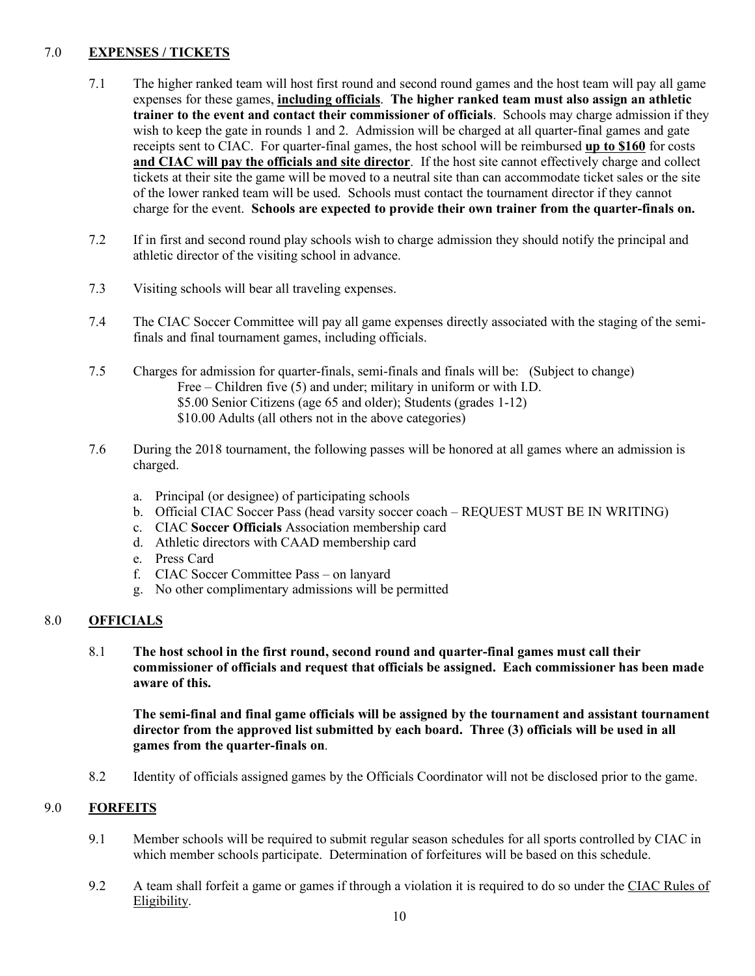# 7.0 **EXPENSES / TICKETS**

- 7.1 The higher ranked team will host first round and second round games and the host team will pay all game expenses for these games, **including officials**. **The higher ranked team must also assign an athletic trainer to the event and contact their commissioner of officials**. Schools may charge admission if they wish to keep the gate in rounds 1 and 2. Admission will be charged at all quarter-final games and gate receipts sent to CIAC. For quarter-final games, the host school will be reimbursed **up to \$160** for costs **and CIAC will pay the officials and site director**. If the host site cannot effectively charge and collect tickets at their site the game will be moved to a neutral site than can accommodate ticket sales or the site of the lower ranked team will be used. Schools must contact the tournament director if they cannot charge for the event. **Schools are expected to provide their own trainer from the quarter-finals on.**
- 7.2 If in first and second round play schools wish to charge admission they should notify the principal and athletic director of the visiting school in advance.
- 7.3 Visiting schools will bear all traveling expenses.
- 7.4 The CIAC Soccer Committee will pay all game expenses directly associated with the staging of the semifinals and final tournament games, including officials.
- 7.5 Charges for admission for quarter-finals, semi-finals and finals will be: (Subject to change) Free – Children five (5) and under; military in uniform or with I.D. \$5.00 Senior Citizens (age 65 and older); Students (grades 1-12) \$10.00 Adults (all others not in the above categories)
- 7.6 During the 2018 tournament, the following passes will be honored at all games where an admission is charged.
	- a. Principal (or designee) of participating schools
	- b. Official CIAC Soccer Pass (head varsity soccer coach REQUEST MUST BE IN WRITING)
	- c. CIAC **Soccer Officials** Association membership card
	- d. Athletic directors with CAAD membership card
	- e. Press Card
	- f. CIAC Soccer Committee Pass on lanyard
	- g. No other complimentary admissions will be permitted

# 8.0 **OFFICIALS**

8.1 **The host school in the first round, second round and quarter-final games must call their commissioner of officials and request that officials be assigned. Each commissioner has been made aware of this.**

**The semi-final and final game officials will be assigned by the tournament and assistant tournament director from the approved list submitted by each board. Three (3) officials will be used in all games from the quarter-finals on**.

8.2 Identity of officials assigned games by the Officials Coordinator will not be disclosed prior to the game.

#### 9.0 **FORFEITS**

- 9.1 Member schools will be required to submit regular season schedules for all sports controlled by CIAC in which member schools participate. Determination of forfeitures will be based on this schedule.
- 9.2 A team shall forfeit a game or games if through a violation it is required to do so under the CIAC Rules of Eligibility.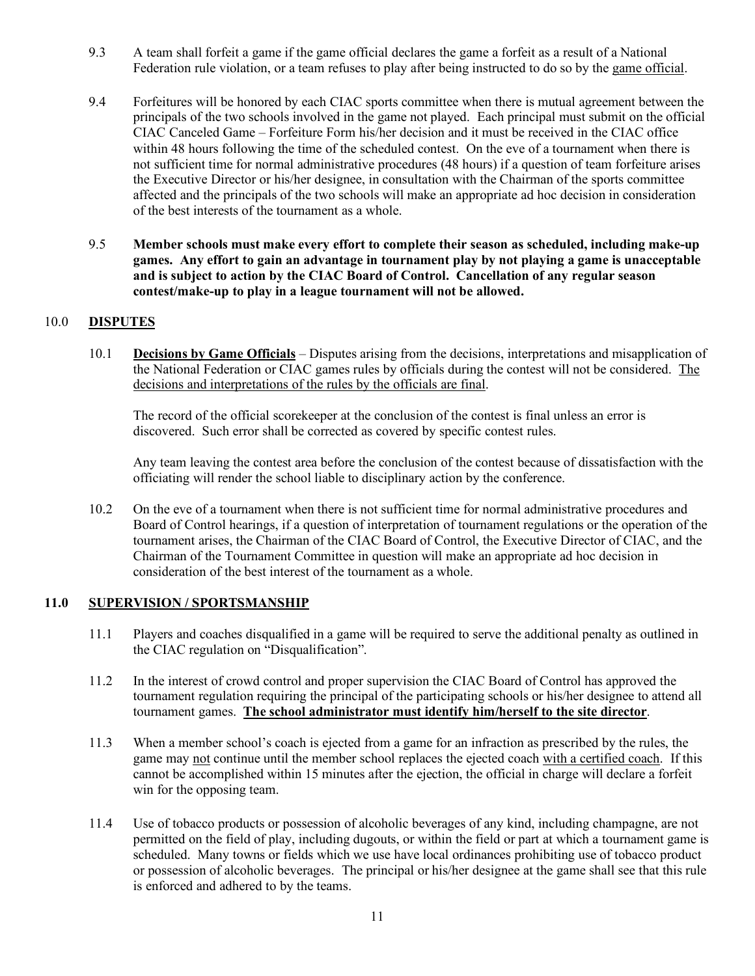- 9.3 A team shall forfeit a game if the game official declares the game a forfeit as a result of a National Federation rule violation, or a team refuses to play after being instructed to do so by the game official.
- 9.4 Forfeitures will be honored by each CIAC sports committee when there is mutual agreement between the principals of the two schools involved in the game not played. Each principal must submit on the official CIAC Canceled Game – Forfeiture Form his/her decision and it must be received in the CIAC office within 48 hours following the time of the scheduled contest. On the eve of a tournament when there is not sufficient time for normal administrative procedures (48 hours) if a question of team forfeiture arises the Executive Director or his/her designee, in consultation with the Chairman of the sports committee affected and the principals of the two schools will make an appropriate ad hoc decision in consideration of the best interests of the tournament as a whole.
- 9.5 **Member schools must make every effort to complete their season as scheduled, including make-up games. Any effort to gain an advantage in tournament play by not playing a game is unacceptable and is subject to action by the CIAC Board of Control. Cancellation of any regular season contest/make-up to play in a league tournament will not be allowed.**

# 10.0 **DISPUTES**

10.1 **Decisions by Game Officials** – Disputes arising from the decisions, interpretations and misapplication of the National Federation or CIAC games rules by officials during the contest will not be considered. The decisions and interpretations of the rules by the officials are final.

The record of the official scorekeeper at the conclusion of the contest is final unless an error is discovered. Such error shall be corrected as covered by specific contest rules.

Any team leaving the contest area before the conclusion of the contest because of dissatisfaction with the officiating will render the school liable to disciplinary action by the conference.

10.2 On the eve of a tournament when there is not sufficient time for normal administrative procedures and Board of Control hearings, if a question of interpretation of tournament regulations or the operation of the tournament arises, the Chairman of the CIAC Board of Control, the Executive Director of CIAC, and the Chairman of the Tournament Committee in question will make an appropriate ad hoc decision in consideration of the best interest of the tournament as a whole.

#### **11.0 SUPERVISION / SPORTSMANSHIP**

- 11.1 Players and coaches disqualified in a game will be required to serve the additional penalty as outlined in the CIAC regulation on "Disqualification".
- 11.2 In the interest of crowd control and proper supervision the CIAC Board of Control has approved the tournament regulation requiring the principal of the participating schools or his/her designee to attend all tournament games. **The school administrator must identify him/herself to the site director**.
- 11.3 When a member school's coach is ejected from a game for an infraction as prescribed by the rules, the game may not continue until the member school replaces the ejected coach with a certified coach. If this cannot be accomplished within 15 minutes after the ejection, the official in charge will declare a forfeit win for the opposing team.
- 11.4 Use of tobacco products or possession of alcoholic beverages of any kind, including champagne, are not permitted on the field of play, including dugouts, or within the field or part at which a tournament game is scheduled. Many towns or fields which we use have local ordinances prohibiting use of tobacco product or possession of alcoholic beverages. The principal or his/her designee at the game shall see that this rule is enforced and adhered to by the teams.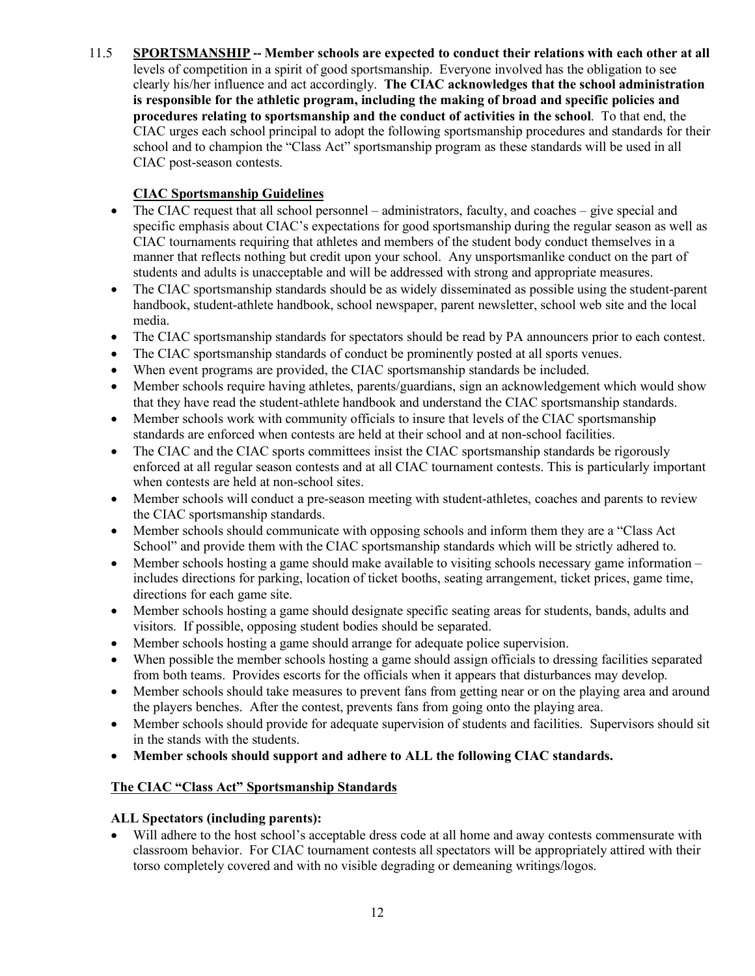11.5 **SPORTSMANSHIP -- Member schools are expected to conduct their relations with each other at all** levels of competition in a spirit of good sportsmanship. Everyone involved has the obligation to see clearly his/her influence and act accordingly. **The CIAC acknowledges that the school administration is responsible for the athletic program, including the making of broad and specific policies and procedures relating to sportsmanship and the conduct of activities in the school**. To that end, the CIAC urges each school principal to adopt the following sportsmanship procedures and standards for their school and to champion the "Class Act" sportsmanship program as these standards will be used in all CIAC post-season contests.

# **CIAC Sportsmanship Guidelines**

- The CIAC request that all school personnel administrators, faculty, and coaches give special and specific emphasis about CIAC's expectations for good sportsmanship during the regular season as well as CIAC tournaments requiring that athletes and members of the student body conduct themselves in a manner that reflects nothing but credit upon your school. Any unsportsmanlike conduct on the part of students and adults is unacceptable and will be addressed with strong and appropriate measures.
- The CIAC sportsmanship standards should be as widely disseminated as possible using the student-parent handbook, student-athlete handbook, school newspaper, parent newsletter, school web site and the local media.
- The CIAC sportsmanship standards for spectators should be read by PA announcers prior to each contest.
- The CIAC sportsmanship standards of conduct be prominently posted at all sports venues.
- When event programs are provided, the CIAC sportsmanship standards be included.
- Member schools require having athletes, parents/guardians, sign an acknowledgement which would show that they have read the student-athlete handbook and understand the CIAC sportsmanship standards.
- Member schools work with community officials to insure that levels of the CIAC sportsmanship standards are enforced when contests are held at their school and at non-school facilities.
- The CIAC and the CIAC sports committees insist the CIAC sportsmanship standards be rigorously enforced at all regular season contests and at all CIAC tournament contests. This is particularly important when contests are held at non-school sites.
- Member schools will conduct a pre-season meeting with student-athletes, coaches and parents to review the CIAC sportsmanship standards.
- Member schools should communicate with opposing schools and inform them they are a "Class Act" School" and provide them with the CIAC sportsmanship standards which will be strictly adhered to.
- Member schools hosting a game should make available to visiting schools necessary game information includes directions for parking, location of ticket booths, seating arrangement, ticket prices, game time, directions for each game site.
- Member schools hosting a game should designate specific seating areas for students, bands, adults and visitors. If possible, opposing student bodies should be separated.
- Member schools hosting a game should arrange for adequate police supervision.
- When possible the member schools hosting a game should assign officials to dressing facilities separated from both teams. Provides escorts for the officials when it appears that disturbances may develop.
- Member schools should take measures to prevent fans from getting near or on the playing area and around the players benches. After the contest, prevents fans from going onto the playing area.
- Member schools should provide for adequate supervision of students and facilities. Supervisors should sit in the stands with the students.
- **Member schools should support and adhere to ALL the following CIAC standards.**

# **The CIAC "Class Act" Sportsmanship Standards**

# **ALL Spectators (including parents):**

• Will adhere to the host school's acceptable dress code at all home and away contests commensurate with classroom behavior. For CIAC tournament contests all spectators will be appropriately attired with their torso completely covered and with no visible degrading or demeaning writings/logos.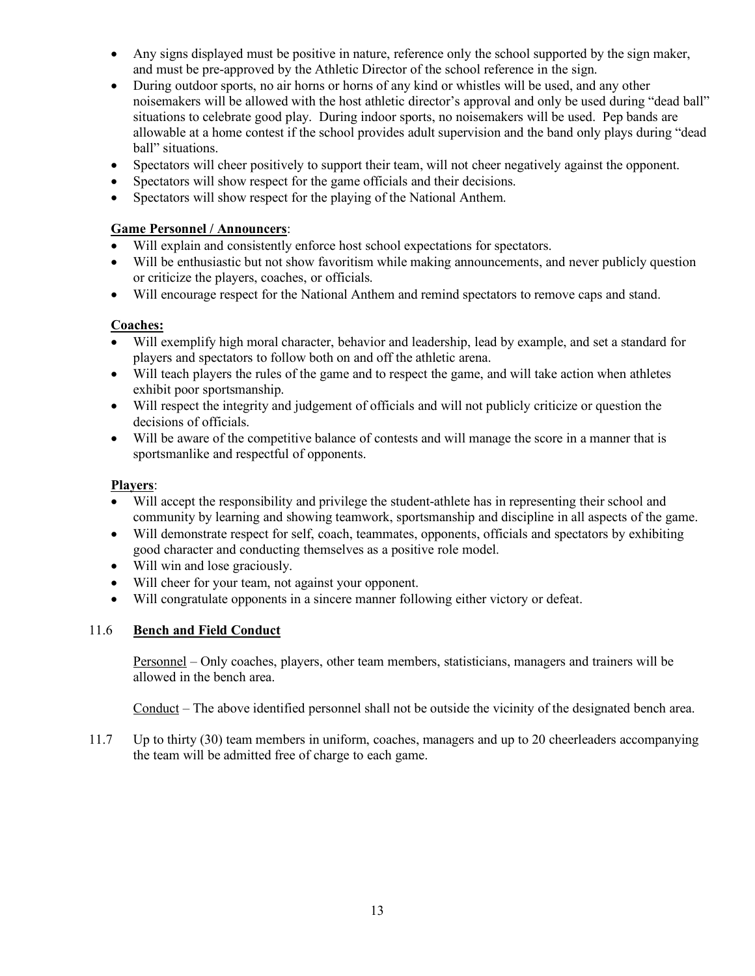- Any signs displayed must be positive in nature, reference only the school supported by the sign maker, and must be pre-approved by the Athletic Director of the school reference in the sign.
- During outdoor sports, no air horns or horns of any kind or whistles will be used, and any other noisemakers will be allowed with the host athletic director's approval and only be used during "dead ball" situations to celebrate good play. During indoor sports, no noisemakers will be used. Pep bands are allowable at a home contest if the school provides adult supervision and the band only plays during "dead ball" situations.
- Spectators will cheer positively to support their team, will not cheer negatively against the opponent.
- Spectators will show respect for the game officials and their decisions.
- Spectators will show respect for the playing of the National Anthem.

# **Game Personnel / Announcers**:

- Will explain and consistently enforce host school expectations for spectators.
- Will be enthusiastic but not show favoritism while making announcements, and never publicly question or criticize the players, coaches, or officials.
- Will encourage respect for the National Anthem and remind spectators to remove caps and stand.

# **Coaches:**

- Will exemplify high moral character, behavior and leadership, lead by example, and set a standard for players and spectators to follow both on and off the athletic arena.
- Will teach players the rules of the game and to respect the game, and will take action when athletes exhibit poor sportsmanship.
- Will respect the integrity and judgement of officials and will not publicly criticize or question the decisions of officials.
- Will be aware of the competitive balance of contests and will manage the score in a manner that is sportsmanlike and respectful of opponents.

# **Players**:

- Will accept the responsibility and privilege the student-athlete has in representing their school and community by learning and showing teamwork, sportsmanship and discipline in all aspects of the game.
- Will demonstrate respect for self, coach, teammates, opponents, officials and spectators by exhibiting good character and conducting themselves as a positive role model.
- Will win and lose graciously.
- Will cheer for your team, not against your opponent.
- Will congratulate opponents in a sincere manner following either victory or defeat.

# 11.6 **Bench and Field Conduct**

Personnel – Only coaches, players, other team members, statisticians, managers and trainers will be allowed in the bench area.

Conduct – The above identified personnel shall not be outside the vicinity of the designated bench area.

11.7 Up to thirty (30) team members in uniform, coaches, managers and up to 20 cheerleaders accompanying the team will be admitted free of charge to each game.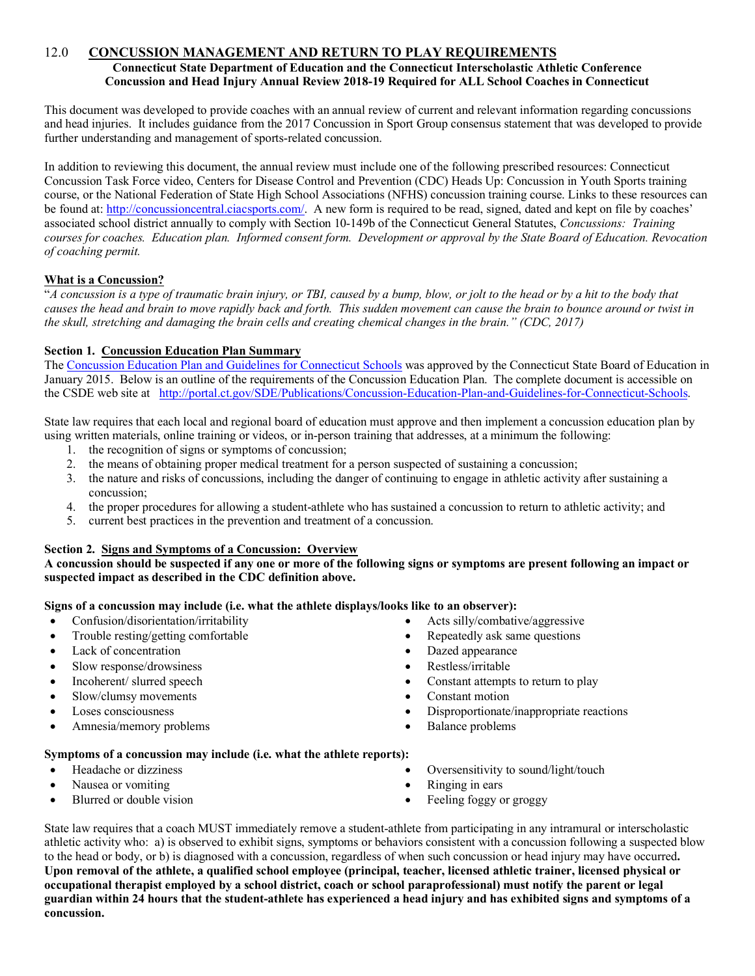#### 12.0 **CONCUSSION MANAGEMENT AND RETURN TO PLAY REQUIREMENTS Connecticut State Department of Education and the Connecticut Interscholastic Athletic Conference Concussion and Head Injury Annual Review 2018-19 Required for ALL School Coaches in Connecticut**

This document was developed to provide coaches with an annual review of current and relevant information regarding concussions and head injuries. It includes guidance from the 2017 Concussion in Sport Group consensus statement that was developed to provide further understanding and management of sports-related concussion.

In addition to reviewing this document, the annual review must include one of the following prescribed resources: Connecticut Concussion Task Force video, Centers for Disease Control and Prevention (CDC) Heads Up: Concussion in Youth Sports training course, or the National Federation of State High School Associations (NFHS) concussion training course. Links to these resources can be found at: http://concussioncentral.ciacsports.com/. A new form is required to be read, signed, dated and kept on file by coaches' associated school district annually to comply with Section 10-149b of the Connecticut General Statutes, *Concussions: Training courses for coaches. Education plan. Informed consent form. Development or approval by the State Board of Education. Revocation of coaching permit.*

#### **What is a Concussion?**

"*A concussion is a type of traumatic brain injury, or TBI, caused by a bump, blow, or jolt to the head or by a hit to the body that causes the head and brain to move rapidly back and forth. This sudden movement can cause the brain to bounce around or twist in the skull, stretching and damaging the brain cells and creating chemical changes in the brain." (CDC, 2017)*

#### **Section 1. Concussion Education Plan Summary**

The Concussion Education Plan and Guidelines for Connecticut Schools was approved by the Connecticut State Board of Education in January 2015. Below is an outline of the requirements of the Concussion Education Plan. The complete document is accessible on the CSDE web site at http://portal.ct.gov/SDE/Publications/Concussion-Education-Plan-and-Guidelines-for-Connecticut-Schools.

State law requires that each local and regional board of education must approve and then implement a concussion education plan by using written materials, online training or videos, or in-person training that addresses, at a minimum the following:

- 1. the recognition of signs or symptoms of concussion;
- 2. the means of obtaining proper medical treatment for a person suspected of sustaining a concussion;
- 3. the nature and risks of concussions, including the danger of continuing to engage in athletic activity after sustaining a concussion;
- 4. the proper procedures for allowing a student-athlete who has sustained a concussion to return to athletic activity; and
- 5. current best practices in the prevention and treatment of a concussion.

#### **Section 2. Signs and Symptoms of a Concussion: Overview**

**A concussion should be suspected if any one or more of the following signs or symptoms are present following an impact or suspected impact as described in the CDC definition above.**

#### **Signs of a concussion may include (i.e. what the athlete displays/looks like to an observer):**

- Confusion/disorientation/irritability
- Trouble resting/getting comfortable
- Lack of concentration
- Slow response/drowsiness
- Incoherent/ slurred speech
- Slow/clumsy movements
- Loses consciousness
- Amnesia/memory problems
- Acts silly/combative/aggressive
- Repeatedly ask same questions
- Dazed appearance
- Restless/irritable
- Constant attempts to return to play
- Constant motion
- Disproportionate/inappropriate reactions
- Balance problems

#### **Symptoms of a concussion may include (i.e. what the athlete reports):**

- Headache or dizziness
- Nausea or vomiting
- Blurred or double vision
- Oversensitivity to sound/light/touch
- Ringing in ears
- Feeling foggy or groggy

State law requires that a coach MUST immediately remove a student-athlete from participating in any intramural or interscholastic athletic activity who: a) is observed to exhibit signs, symptoms or behaviors consistent with a concussion following a suspected blow to the head or body, or b) is diagnosed with a concussion, regardless of when such concussion or head injury may have occurred**. Upon removal of the athlete, a qualified school employee (principal, teacher, licensed athletic trainer, licensed physical or occupational therapist employed by a school district, coach or school paraprofessional) must notify the parent or legal guardian within 24 hours that the student-athlete has experienced a head injury and has exhibited signs and symptoms of a concussion.**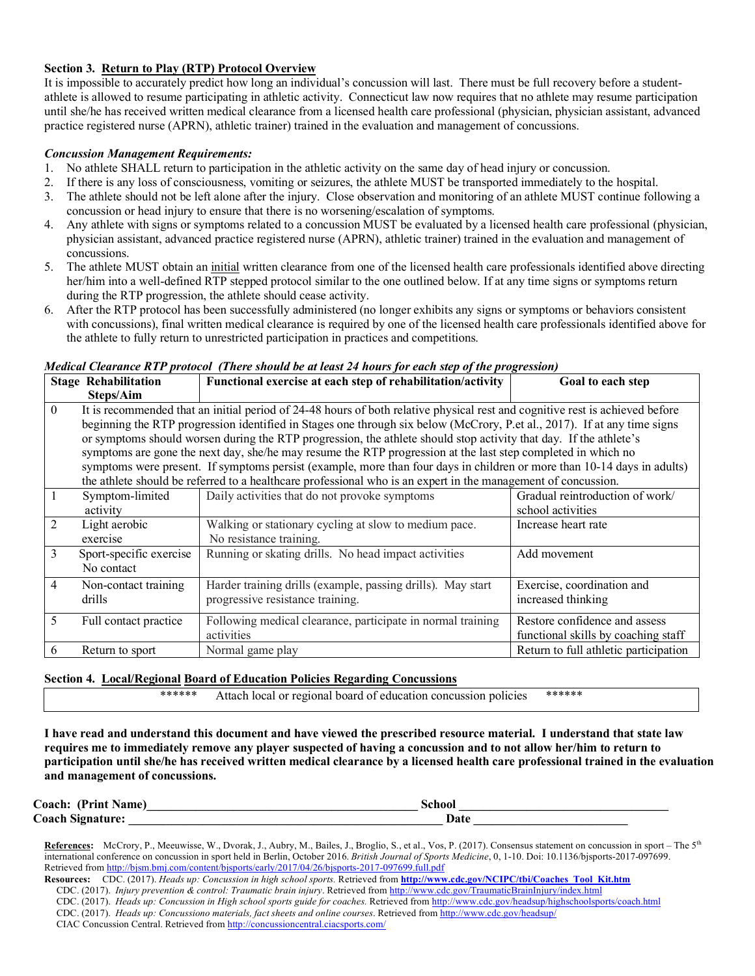#### **Section 3. Return to Play (RTP) Protocol Overview**

It is impossible to accurately predict how long an individual's concussion will last. There must be full recovery before a studentathlete is allowed to resume participating in athletic activity. Connecticut law now requires that no athlete may resume participation until she/he has received written medical clearance from a licensed health care professional (physician, physician assistant, advanced practice registered nurse (APRN), athletic trainer) trained in the evaluation and management of concussions.

#### *Concussion Management Requirements:*

- 1. No athlete SHALL return to participation in the athletic activity on the same day of head injury or concussion.
- 2. If there is any loss of consciousness, vomiting or seizures, the athlete MUST be transported immediately to the hospital.
- 3. The athlete should not be left alone after the injury. Close observation and monitoring of an athlete MUST continue following a concussion or head injury to ensure that there is no worsening/escalation of symptoms.
- 4. Any athlete with signs or symptoms related to a concussion MUST be evaluated by a licensed health care professional (physician, physician assistant, advanced practice registered nurse (APRN), athletic trainer) trained in the evaluation and management of concussions.
- 5. The athlete MUST obtain an initial written clearance from one of the licensed health care professionals identified above directing her/him into a well-defined RTP stepped protocol similar to the one outlined below. If at any time signs or symptoms return during the RTP progression, the athlete should cease activity.
- 6. After the RTP protocol has been successfully administered (no longer exhibits any signs or symptoms or behaviors consistent with concussions), final written medical clearance is required by one of the licensed health care professionals identified above for the athlete to fully return to unrestricted participation in practices and competitions.

|          | <b>Stage Rehabilitation</b> | $m$ eatu Clearance KTT protocot (There should be at least 24 hours for each siep of the progression)<br>Functional exercise at each step of rehabilitation/activity | Goal to each step                     |
|----------|-----------------------------|---------------------------------------------------------------------------------------------------------------------------------------------------------------------|---------------------------------------|
|          | Steps/Aim                   |                                                                                                                                                                     |                                       |
| $\theta$ |                             | It is recommended that an initial period of 24-48 hours of both relative physical rest and cognitive rest is achieved before                                        |                                       |
|          |                             | beginning the RTP progression identified in Stages one through six below (McCrory, P.et al., 2017). If at any time signs                                            |                                       |
|          |                             | or symptoms should worsen during the RTP progression, the athlete should stop activity that day. If the athlete's                                                   |                                       |
|          |                             | symptoms are gone the next day, she/he may resume the RTP progression at the last step completed in which no                                                        |                                       |
|          |                             | symptoms were present. If symptoms persist (example, more than four days in children or more than 10-14 days in adults)                                             |                                       |
|          |                             | the athlete should be referred to a healthcare professional who is an expert in the management of concussion.                                                       |                                       |
|          | Symptom-limited             | Daily activities that do not provoke symptoms                                                                                                                       | Gradual reintroduction of work/       |
|          | activity                    |                                                                                                                                                                     | school activities                     |
| 2        | Light aerobic               | Walking or stationary cycling at slow to medium pace.                                                                                                               | Increase heart rate                   |
|          | exercise                    | No resistance training.                                                                                                                                             |                                       |
| 3        | Sport-specific exercise     | Running or skating drills. No head impact activities                                                                                                                | Add movement                          |
|          | No contact                  |                                                                                                                                                                     |                                       |
| 4        | Non-contact training        | Harder training drills (example, passing drills). May start                                                                                                         | Exercise, coordination and            |
|          | drills                      | progressive resistance training.                                                                                                                                    | increased thinking                    |
| 5        | Full contact practice       | Following medical clearance, participate in normal training                                                                                                         | Restore confidence and assess         |
|          |                             | activities                                                                                                                                                          | functional skills by coaching staff   |
|          | Return to sport             | Normal game play                                                                                                                                                    | Return to full athletic participation |
| 6        |                             |                                                                                                                                                                     |                                       |

#### *Medical Clearance RTP protocol (There should be at least 24 hours for each step of the progression)*

#### **Section 4.****Local/Regional Board of Education Policies Regarding Concussions**

\*\*\*\*\*\* Attach local or regional board of education concussion policies \*\*\*\*\*\*

**I have read and understand this document and have viewed the prescribed resource material. I understand that state law requires me to immediately remove any player suspected of having a concussion and to not allow her/him to return to participation until she/he has received written medical clearance by a licensed health care professional trained in the evaluation and management of concussions.**

| <b>Coach:</b><br>(Print Name) | $\lambda$ |
|-------------------------------|-----------|
| <b>Coach Signature:</b>       | ')ato     |

**References:** McCrory, P., Meeuwisse, W., Dvorak, J., Aubry, M., Bailes, J., Broglio, S., et al., Vos, P. (2017). Consensus statement on concussion in sport – The 5th international conference on concussion in sport held in Berlin, October 2016. *British Journal of Sports Medicine*, 0, 1-10. Doi: 10.1136/bjsports-2017-097699. Retrieved from http://bjsm.bmj.com/content/bjsports/early/2017/04/26/bjsports-2017-097699.full.pdf

**Resources:** CDC. (2017). *Heads up: Concussion in high school sports.* Retrieved from **http://www.cdc.gov/NCIPC/tbi/Coaches\_Tool\_Kit.htm** CDC. (2017). *Injury prevention & control: Traumatic brain injury*. Retrieved from http://www.cdc.gov/TraumaticBrainInjury/index.html CDC. (2017). *Heads up: Concussion in High school sports guide for coaches.* Retrieved from http://www.cdc.gov/headsup/highschoolsports/coach.html CDC. (2017). *Heads up: Concussiono materials, fact sheets and online courses*. Retrieved from http://www.cdc.gov/headsup/ CIAC Concussion Central. Retrieved from http://concussioncentral.ciacsports.com/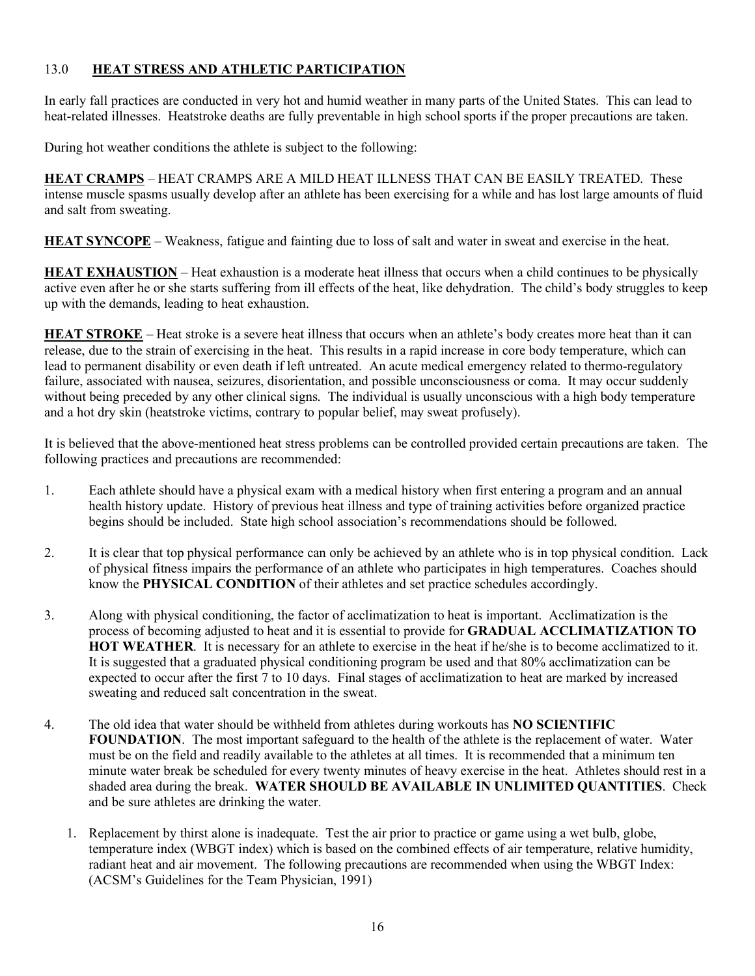# 13.0 **HEAT STRESS AND ATHLETIC PARTICIPATION**

In early fall practices are conducted in very hot and humid weather in many parts of the United States. This can lead to heat-related illnesses. Heatstroke deaths are fully preventable in high school sports if the proper precautions are taken.

During hot weather conditions the athlete is subject to the following:

**HEAT CRAMPS** – HEAT CRAMPS ARE A MILD HEAT ILLNESS THAT CAN BE EASILY TREATED. These intense muscle spasms usually develop after an athlete has been exercising for a while and has lost large amounts of fluid and salt from sweating.

**HEAT SYNCOPE** – Weakness, fatigue and fainting due to loss of salt and water in sweat and exercise in the heat.

**HEAT EXHAUSTION** – Heat exhaustion is a moderate heat illness that occurs when a child continues to be physically active even after he or she starts suffering from ill effects of the heat, like dehydration. The child's body struggles to keep up with the demands, leading to heat exhaustion.

**HEAT STROKE** – Heat stroke is a severe heat illness that occurs when an athlete's body creates more heat than it can release, due to the strain of exercising in the heat. This results in a rapid increase in core body temperature, which can lead to permanent disability or even death if left untreated. An acute medical emergency related to thermo-regulatory failure, associated with nausea, seizures, disorientation, and possible unconsciousness or coma. It may occur suddenly without being preceded by any other clinical signs. The individual is usually unconscious with a high body temperature and a hot dry skin (heatstroke victims, contrary to popular belief, may sweat profusely).

It is believed that the above-mentioned heat stress problems can be controlled provided certain precautions are taken. The following practices and precautions are recommended:

- 1. Each athlete should have a physical exam with a medical history when first entering a program and an annual health history update. History of previous heat illness and type of training activities before organized practice begins should be included. State high school association's recommendations should be followed.
- 2. It is clear that top physical performance can only be achieved by an athlete who is in top physical condition. Lack of physical fitness impairs the performance of an athlete who participates in high temperatures. Coaches should know the **PHYSICAL CONDITION** of their athletes and set practice schedules accordingly.
- 3. Along with physical conditioning, the factor of acclimatization to heat is important. Acclimatization is the process of becoming adjusted to heat and it is essential to provide for **GRADUAL ACCLIMATIZATION TO HOT WEATHER**. It is necessary for an athlete to exercise in the heat if he/she is to become acclimatized to it. It is suggested that a graduated physical conditioning program be used and that 80% acclimatization can be expected to occur after the first 7 to 10 days. Final stages of acclimatization to heat are marked by increased sweating and reduced salt concentration in the sweat.
- 4. The old idea that water should be withheld from athletes during workouts has **NO SCIENTIFIC FOUNDATION**. The most important safeguard to the health of the athlete is the replacement of water. Water must be on the field and readily available to the athletes at all times. It is recommended that a minimum ten minute water break be scheduled for every twenty minutes of heavy exercise in the heat. Athletes should rest in a shaded area during the break. **WATER SHOULD BE AVAILABLE IN UNLIMITED QUANTITIES**. Check and be sure athletes are drinking the water.
	- 1. Replacement by thirst alone is inadequate. Test the air prior to practice or game using a wet bulb, globe, temperature index (WBGT index) which is based on the combined effects of air temperature, relative humidity, radiant heat and air movement. The following precautions are recommended when using the WBGT Index: (ACSM's Guidelines for the Team Physician, 1991)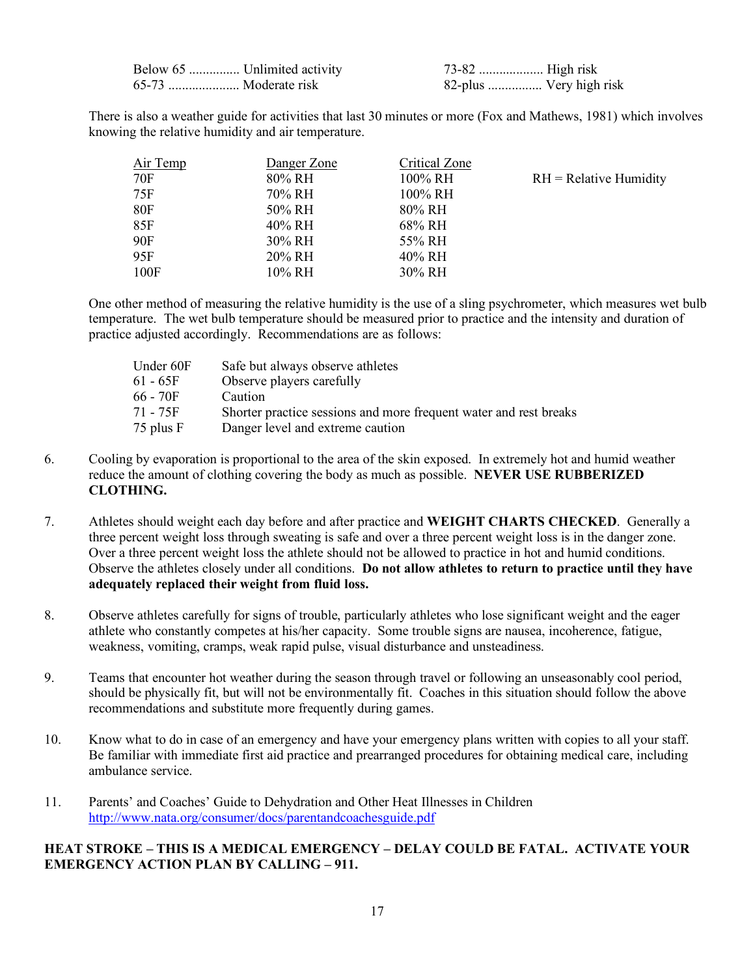| Below 65  Unlimited activity |                         |  |
|------------------------------|-------------------------|--|
| 65-73  Moderate risk         | 82-plus  Very high risk |  |

There is also a weather guide for activities that last 30 minutes or more (Fox and Mathews, 1981) which involves knowing the relative humidity and air temperature.

| Air Temp   | Danger Zone | Critical Zone |                          |
|------------|-------------|---------------|--------------------------|
| 70F        | 80% RH      | 100% RH       | $RH = Relative$ Humidity |
| 75F        | 70% RH      | 100% RH       |                          |
| <b>80F</b> | 50% RH      | 80% RH        |                          |
| 85F        | 40% RH      | 68% RH        |                          |
| 90F        | 30% RH      | 55% RH        |                          |
| 95F        | 20% RH      | 40% RH        |                          |
| 100F       | 10% RH      | 30% RH        |                          |

One other method of measuring the relative humidity is the use of a sling psychrometer, which measures wet bulb temperature. The wet bulb temperature should be measured prior to practice and the intensity and duration of practice adjusted accordingly. Recommendations are as follows:

| Safe but always observe athletes                                  |
|-------------------------------------------------------------------|
| Observe players carefully                                         |
| Caution                                                           |
| Shorter practice sessions and more frequent water and rest breaks |
| Danger level and extreme caution                                  |
|                                                                   |

- 6. Cooling by evaporation is proportional to the area of the skin exposed. In extremely hot and humid weather reduce the amount of clothing covering the body as much as possible. **NEVER USE RUBBERIZED CLOTHING.**
- 7. Athletes should weight each day before and after practice and **WEIGHT CHARTS CHECKED**. Generally a three percent weight loss through sweating is safe and over a three percent weight loss is in the danger zone. Over a three percent weight loss the athlete should not be allowed to practice in hot and humid conditions. Observe the athletes closely under all conditions. **Do not allow athletes to return to practice until they have adequately replaced their weight from fluid loss.**
- 8. Observe athletes carefully for signs of trouble, particularly athletes who lose significant weight and the eager athlete who constantly competes at his/her capacity. Some trouble signs are nausea, incoherence, fatigue, weakness, vomiting, cramps, weak rapid pulse, visual disturbance and unsteadiness.
- 9. Teams that encounter hot weather during the season through travel or following an unseasonably cool period, should be physically fit, but will not be environmentally fit. Coaches in this situation should follow the above recommendations and substitute more frequently during games.
- 10. Know what to do in case of an emergency and have your emergency plans written with copies to all your staff. Be familiar with immediate first aid practice and prearranged procedures for obtaining medical care, including ambulance service.
- 11. Parents' and Coaches' Guide to Dehydration and Other Heat Illnesses in Children http://www.nata.org/consumer/docs/parentandcoachesguide.pdf

# **HEAT STROKE – THIS IS A MEDICAL EMERGENCY – DELAY COULD BE FATAL. ACTIVATE YOUR EMERGENCY ACTION PLAN BY CALLING – 911.**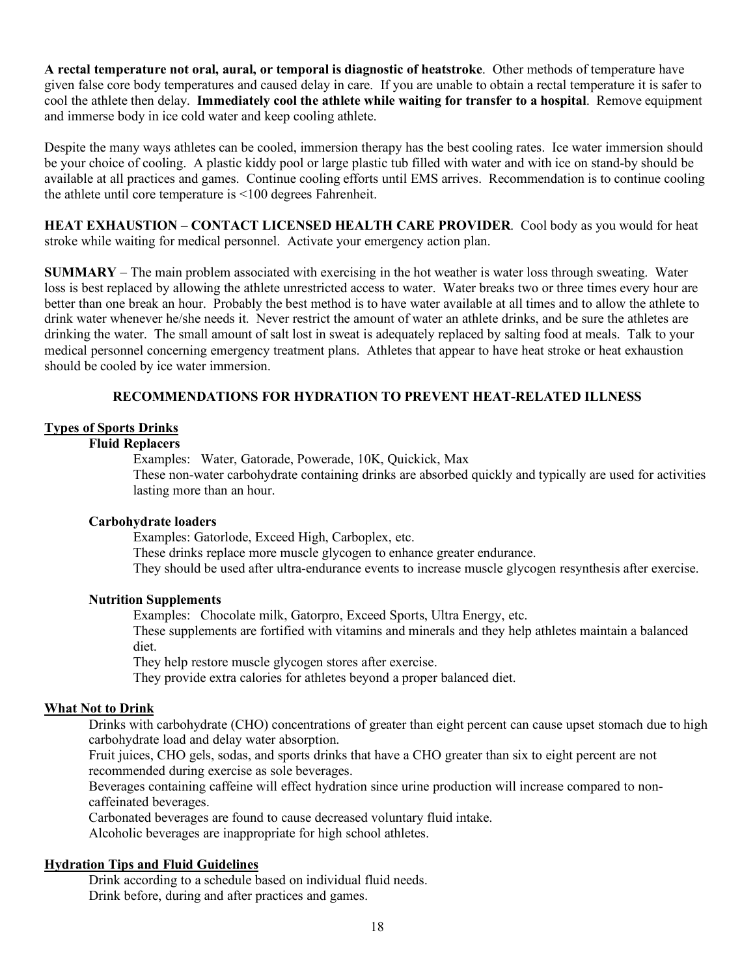**A rectal temperature not oral, aural, or temporal is diagnostic of heatstroke**. Other methods of temperature have given false core body temperatures and caused delay in care. If you are unable to obtain a rectal temperature it is safer to cool the athlete then delay. **Immediately cool the athlete while waiting for transfer to a hospital**. Remove equipment and immerse body in ice cold water and keep cooling athlete.

Despite the many ways athletes can be cooled, immersion therapy has the best cooling rates. Ice water immersion should be your choice of cooling. A plastic kiddy pool or large plastic tub filled with water and with ice on stand-by should be available at all practices and games. Continue cooling efforts until EMS arrives. Recommendation is to continue cooling the athlete until core temperature is <100 degrees Fahrenheit.

**HEAT EXHAUSTION – CONTACT LICENSED HEALTH CARE PROVIDER**. Cool body as you would for heat stroke while waiting for medical personnel. Activate your emergency action plan.

**SUMMARY** – The main problem associated with exercising in the hot weather is water loss through sweating. Water loss is best replaced by allowing the athlete unrestricted access to water. Water breaks two or three times every hour are better than one break an hour. Probably the best method is to have water available at all times and to allow the athlete to drink water whenever he/she needs it. Never restrict the amount of water an athlete drinks, and be sure the athletes are drinking the water. The small amount of salt lost in sweat is adequately replaced by salting food at meals. Talk to your medical personnel concerning emergency treatment plans. Athletes that appear to have heat stroke or heat exhaustion should be cooled by ice water immersion.

# **RECOMMENDATIONS FOR HYDRATION TO PREVENT HEAT-RELATED ILLNESS**

# **Types of Sports Drinks**

### **Fluid Replacers**

Examples: Water, Gatorade, Powerade, 10K, Quickick, Max

These non-water carbohydrate containing drinks are absorbed quickly and typically are used for activities lasting more than an hour.

#### **Carbohydrate loaders**

Examples: Gatorlode, Exceed High, Carboplex, etc.

These drinks replace more muscle glycogen to enhance greater endurance.

They should be used after ultra-endurance events to increase muscle glycogen resynthesis after exercise.

#### **Nutrition Supplements**

Examples: Chocolate milk, Gatorpro, Exceed Sports, Ultra Energy, etc.

These supplements are fortified with vitamins and minerals and they help athletes maintain a balanced diet.

They help restore muscle glycogen stores after exercise.

They provide extra calories for athletes beyond a proper balanced diet.

#### **What Not to Drink**

Drinks with carbohydrate (CHO) concentrations of greater than eight percent can cause upset stomach due to high carbohydrate load and delay water absorption.

Fruit juices, CHO gels, sodas, and sports drinks that have a CHO greater than six to eight percent are not recommended during exercise as sole beverages.

Beverages containing caffeine will effect hydration since urine production will increase compared to noncaffeinated beverages.

Carbonated beverages are found to cause decreased voluntary fluid intake.

Alcoholic beverages are inappropriate for high school athletes.

#### **Hydration Tips and Fluid Guidelines**

Drink according to a schedule based on individual fluid needs. Drink before, during and after practices and games.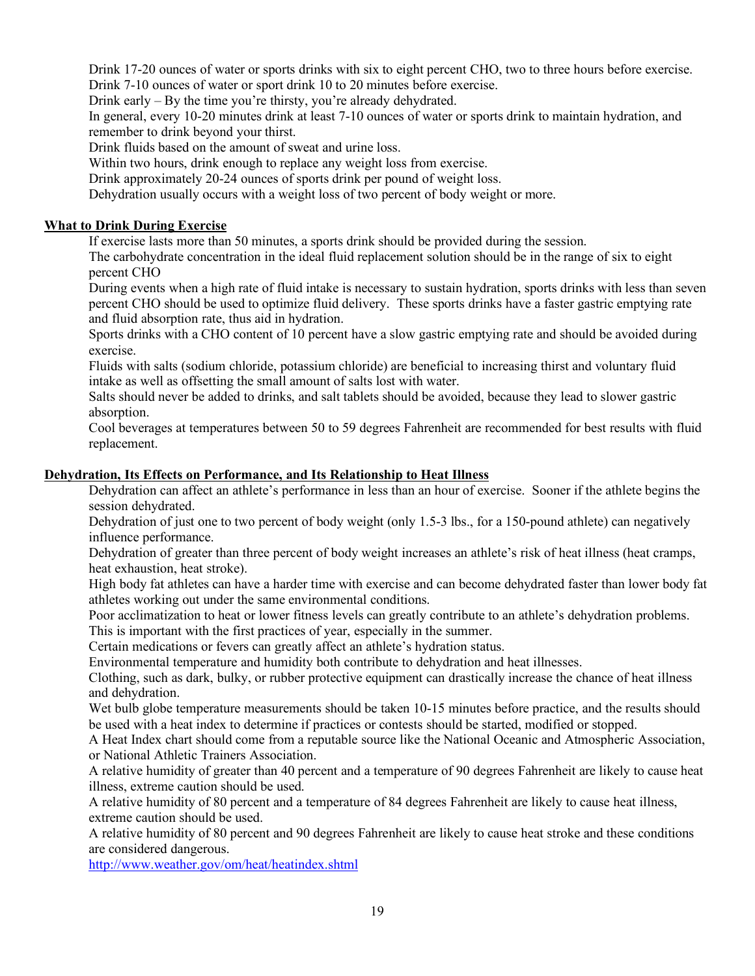Drink 17-20 ounces of water or sports drinks with six to eight percent CHO, two to three hours before exercise. Drink 7-10 ounces of water or sport drink 10 to 20 minutes before exercise.

Drink early – By the time you're thirsty, you're already dehydrated.

In general, every 10-20 minutes drink at least 7-10 ounces of water or sports drink to maintain hydration, and remember to drink beyond your thirst.

Drink fluids based on the amount of sweat and urine loss.

Within two hours, drink enough to replace any weight loss from exercise.

Drink approximately 20-24 ounces of sports drink per pound of weight loss.

Dehydration usually occurs with a weight loss of two percent of body weight or more.

## **What to Drink During Exercise**

If exercise lasts more than 50 minutes, a sports drink should be provided during the session.

The carbohydrate concentration in the ideal fluid replacement solution should be in the range of six to eight percent CHO

During events when a high rate of fluid intake is necessary to sustain hydration, sports drinks with less than seven percent CHO should be used to optimize fluid delivery. These sports drinks have a faster gastric emptying rate and fluid absorption rate, thus aid in hydration.

Sports drinks with a CHO content of 10 percent have a slow gastric emptying rate and should be avoided during exercise.

Fluids with salts (sodium chloride, potassium chloride) are beneficial to increasing thirst and voluntary fluid intake as well as offsetting the small amount of salts lost with water.

Salts should never be added to drinks, and salt tablets should be avoided, because they lead to slower gastric absorption.

Cool beverages at temperatures between 50 to 59 degrees Fahrenheit are recommended for best results with fluid replacement.

## **Dehydration, Its Effects on Performance, and Its Relationship to Heat Illness**

Dehydration can affect an athlete's performance in less than an hour of exercise. Sooner if the athlete begins the session dehydrated.

Dehydration of just one to two percent of body weight (only 1.5-3 lbs., for a 150-pound athlete) can negatively influence performance.

Dehydration of greater than three percent of body weight increases an athlete's risk of heat illness (heat cramps, heat exhaustion, heat stroke).

High body fat athletes can have a harder time with exercise and can become dehydrated faster than lower body fat athletes working out under the same environmental conditions.

Poor acclimatization to heat or lower fitness levels can greatly contribute to an athlete's dehydration problems. This is important with the first practices of year, especially in the summer.

Certain medications or fevers can greatly affect an athlete's hydration status.

Environmental temperature and humidity both contribute to dehydration and heat illnesses.

Clothing, such as dark, bulky, or rubber protective equipment can drastically increase the chance of heat illness and dehydration.

Wet bulb globe temperature measurements should be taken 10-15 minutes before practice, and the results should be used with a heat index to determine if practices or contests should be started, modified or stopped.

A Heat Index chart should come from a reputable source like the National Oceanic and Atmospheric Association, or National Athletic Trainers Association.

A relative humidity of greater than 40 percent and a temperature of 90 degrees Fahrenheit are likely to cause heat illness, extreme caution should be used.

A relative humidity of 80 percent and a temperature of 84 degrees Fahrenheit are likely to cause heat illness, extreme caution should be used.

A relative humidity of 80 percent and 90 degrees Fahrenheit are likely to cause heat stroke and these conditions are considered dangerous.

http://www.weather.gov/om/heat/heatindex.shtml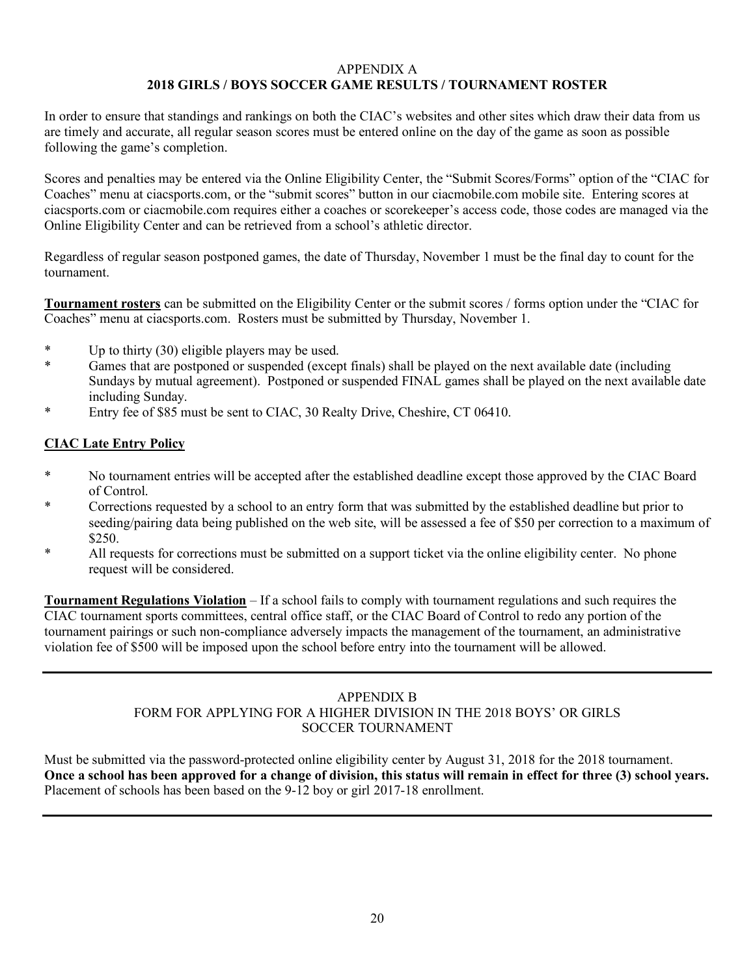#### APPENDIX A **2018 GIRLS / BOYS SOCCER GAME RESULTS / TOURNAMENT ROSTER**

In order to ensure that standings and rankings on both the CIAC's websites and other sites which draw their data from us are timely and accurate, all regular season scores must be entered online on the day of the game as soon as possible following the game's completion.

Scores and penalties may be entered via the Online Eligibility Center, the "Submit Scores/Forms" option of the "CIAC for Coaches" menu at ciacsports.com, or the "submit scores" button in our ciacmobile.com mobile site. Entering scores at ciacsports.com or ciacmobile.com requires either a coaches or scorekeeper's access code, those codes are managed via the Online Eligibility Center and can be retrieved from a school's athletic director.

Regardless of regular season postponed games, the date of Thursday, November 1 must be the final day to count for the tournament.

**Tournament rosters** can be submitted on the Eligibility Center or the submit scores / forms option under the "CIAC for Coaches" menu at ciacsports.com. Rosters must be submitted by Thursday, November 1.

- \* Up to thirty (30) eligible players may be used.
- \* Games that are postponed or suspended (except finals) shall be played on the next available date (including Sundays by mutual agreement). Postponed or suspended FINAL games shall be played on the next available date including Sunday.
- Entry fee of \$85 must be sent to CIAC, 30 Realty Drive, Cheshire, CT 06410.

# **CIAC Late Entry Policy**

- \* No tournament entries will be accepted after the established deadline except those approved by the CIAC Board of Control.
- \* Corrections requested by a school to an entry form that was submitted by the established deadline but prior to seeding/pairing data being published on the web site, will be assessed a fee of \$50 per correction to a maximum of \$250.
- \* All requests for corrections must be submitted on a support ticket via the online eligibility center. No phone request will be considered.

**Tournament Regulations Violation** – If a school fails to comply with tournament regulations and such requires the CIAC tournament sports committees, central office staff, or the CIAC Board of Control to redo any portion of the tournament pairings or such non-compliance adversely impacts the management of the tournament, an administrative violation fee of \$500 will be imposed upon the school before entry into the tournament will be allowed.

# APPENDIX B FORM FOR APPLYING FOR A HIGHER DIVISION IN THE 2018 BOYS' OR GIRLS SOCCER TOURNAMENT

Must be submitted via the password-protected online eligibility center by August 31, 2018 for the 2018 tournament. **Once a school has been approved for a change of division, this status will remain in effect for three (3) school years.** Placement of schools has been based on the 9-12 boy or girl 2017-18 enrollment.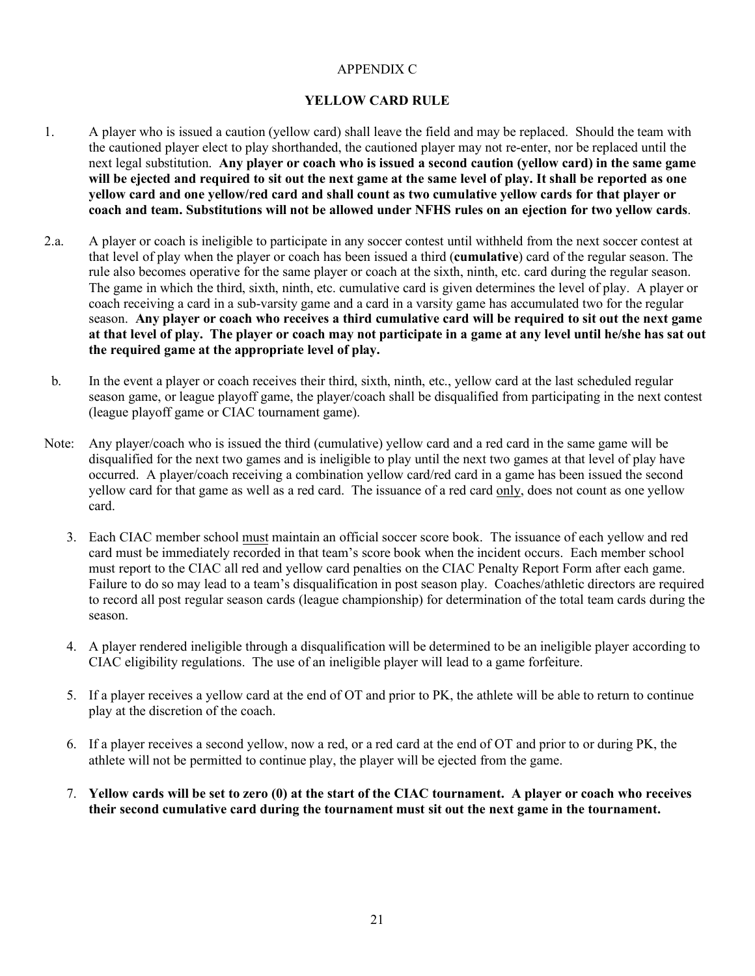# APPENDIX C

# **YELLOW CARD RULE**

- 1. A player who is issued a caution (yellow card) shall leave the field and may be replaced. Should the team with the cautioned player elect to play shorthanded, the cautioned player may not re-enter, nor be replaced until the next legal substitution. **Any player or coach who is issued a second caution (yellow card) in the same game will be ejected and required to sit out the next game at the same level of play. It shall be reported as one yellow card and one yellow/red card and shall count as two cumulative yellow cards for that player or coach and team. Substitutions will not be allowed under NFHS rules on an ejection for two yellow cards**.
- 2.a. A player or coach is ineligible to participate in any soccer contest until withheld from the next soccer contest at that level of play when the player or coach has been issued a third (**cumulative**) card of the regular season. The rule also becomes operative for the same player or coach at the sixth, ninth, etc. card during the regular season. The game in which the third, sixth, ninth, etc. cumulative card is given determines the level of play. A player or coach receiving a card in a sub-varsity game and a card in a varsity game has accumulated two for the regular season. **Any player or coach who receives a third cumulative card will be required to sit out the next game at that level of play. The player or coach may not participate in a game at any level until he/she has sat out the required game at the appropriate level of play.**
- b. In the event a player or coach receives their third, sixth, ninth, etc., yellow card at the last scheduled regular season game, or league playoff game, the player/coach shall be disqualified from participating in the next contest (league playoff game or CIAC tournament game).
- Note: Any player/coach who is issued the third (cumulative) yellow card and a red card in the same game will be disqualified for the next two games and is ineligible to play until the next two games at that level of play have occurred. A player/coach receiving a combination yellow card/red card in a game has been issued the second yellow card for that game as well as a red card. The issuance of a red card only, does not count as one yellow card.
	- 3. Each CIAC member school must maintain an official soccer score book. The issuance of each yellow and red card must be immediately recorded in that team's score book when the incident occurs. Each member school must report to the CIAC all red and yellow card penalties on the CIAC Penalty Report Form after each game. Failure to do so may lead to a team's disqualification in post season play. Coaches/athletic directors are required to record all post regular season cards (league championship) for determination of the total team cards during the season.
	- 4. A player rendered ineligible through a disqualification will be determined to be an ineligible player according to CIAC eligibility regulations. The use of an ineligible player will lead to a game forfeiture.
	- 5. If a player receives a yellow card at the end of OT and prior to PK, the athlete will be able to return to continue play at the discretion of the coach.
	- 6. If a player receives a second yellow, now a red, or a red card at the end of OT and prior to or during PK, the athlete will not be permitted to continue play, the player will be ejected from the game.
	- 7. **Yellow cards will be set to zero (0) at the start of the CIAC tournament. A player or coach who receives their second cumulative card during the tournament must sit out the next game in the tournament.**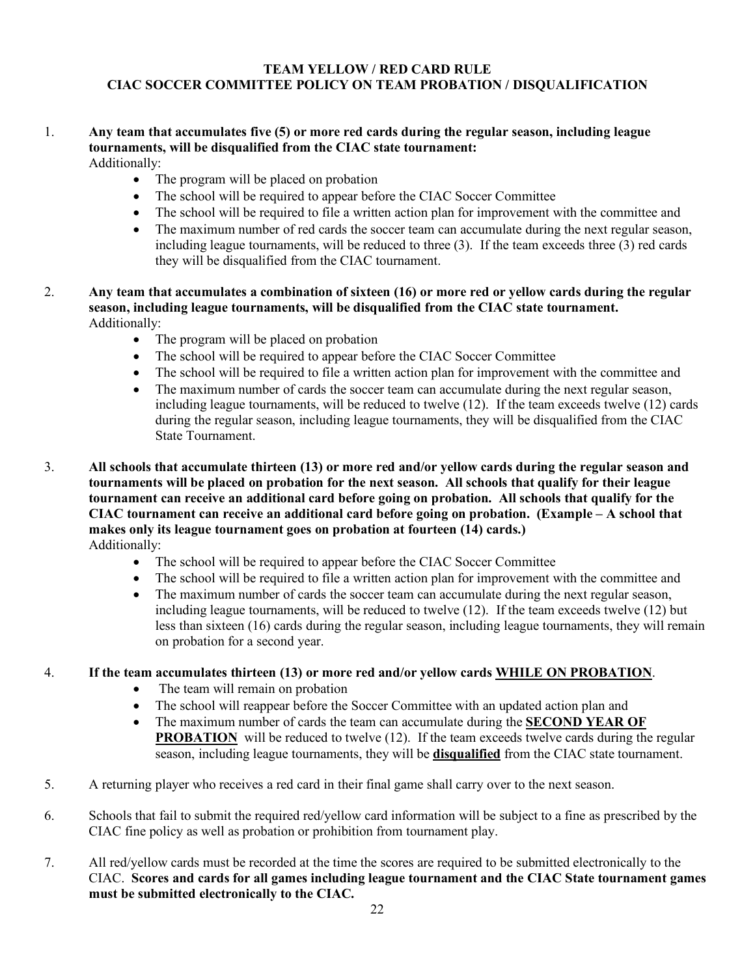# **TEAM YELLOW / RED CARD RULE CIAC SOCCER COMMITTEE POLICY ON TEAM PROBATION / DISQUALIFICATION**

# 1. **Any team that accumulates five (5) or more red cards during the regular season, including league tournaments, will be disqualified from the CIAC state tournament:**

Additionally:

- The program will be placed on probation
- The school will be required to appear before the CIAC Soccer Committee
- The school will be required to file a written action plan for improvement with the committee and
- The maximum number of red cards the soccer team can accumulate during the next regular season, including league tournaments, will be reduced to three (3). If the team exceeds three (3) red cards they will be disqualified from the CIAC tournament.
- 2. **Any team that accumulates a combination of sixteen (16) or more red or yellow cards during the regular season, including league tournaments, will be disqualified from the CIAC state tournament.** Additionally:
	- The program will be placed on probation
	- The school will be required to appear before the CIAC Soccer Committee
	- The school will be required to file a written action plan for improvement with the committee and
	- The maximum number of cards the soccer team can accumulate during the next regular season, including league tournaments, will be reduced to twelve (12). If the team exceeds twelve (12) cards during the regular season, including league tournaments, they will be disqualified from the CIAC State Tournament.
- 3. **All schools that accumulate thirteen (13) or more red and/or yellow cards during the regular season and tournaments will be placed on probation for the next season. All schools that qualify for their league tournament can receive an additional card before going on probation. All schools that qualify for the CIAC tournament can receive an additional card before going on probation. (Example – A school that makes only its league tournament goes on probation at fourteen (14) cards.)** Additionally:
	- The school will be required to appear before the CIAC Soccer Committee
	- The school will be required to file a written action plan for improvement with the committee and
	- The maximum number of cards the soccer team can accumulate during the next regular season, including league tournaments, will be reduced to twelve (12). If the team exceeds twelve (12) but less than sixteen (16) cards during the regular season, including league tournaments, they will remain on probation for a second year.
- 4. **If the team accumulates thirteen (13) or more red and/or yellow cards WHILE ON PROBATION**.
	- The team will remain on probation
	- The school will reappear before the Soccer Committee with an updated action plan and
	- The maximum number of cards the team can accumulate during the **SECOND YEAR OF PROBATION** will be reduced to twelve (12). If the team exceeds twelve cards during the regular season, including league tournaments, they will be **disqualified** from the CIAC state tournament.
- 5. A returning player who receives a red card in their final game shall carry over to the next season.
- 6. Schools that fail to submit the required red/yellow card information will be subject to a fine as prescribed by the CIAC fine policy as well as probation or prohibition from tournament play.
- 7. All red/yellow cards must be recorded at the time the scores are required to be submitted electronically to the CIAC. **Scores and cards for all games including league tournament and the CIAC State tournament games must be submitted electronically to the CIAC.**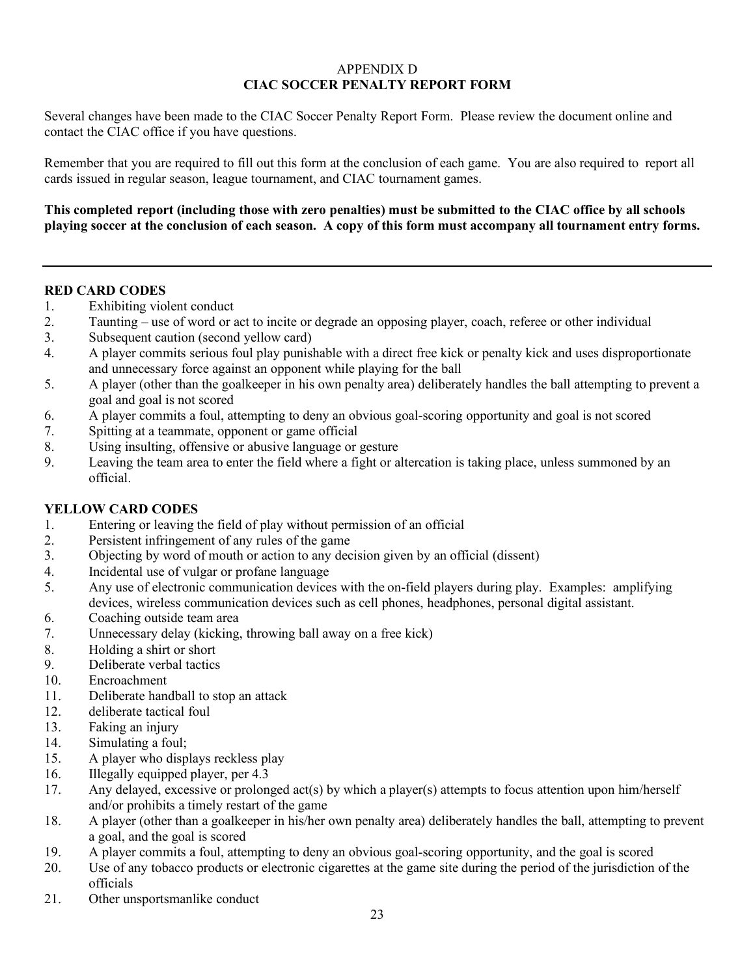# APPENDIX D **CIAC SOCCER PENALTY REPORT FORM**

Several changes have been made to the CIAC Soccer Penalty Report Form. Please review the document online and contact the CIAC office if you have questions.

Remember that you are required to fill out this form at the conclusion of each game. You are also required to report all cards issued in regular season, league tournament, and CIAC tournament games.

**This completed report (including those with zero penalties) must be submitted to the CIAC office by all schools playing soccer at the conclusion of each season. A copy of this form must accompany all tournament entry forms.**

## **RED CARD CODES**

- 1. Exhibiting violent conduct
- 2. Taunting use of word or act to incite or degrade an opposing player, coach, referee or other individual
- 3. Subsequent caution (second yellow card)
- 4. A player commits serious foul play punishable with a direct free kick or penalty kick and uses disproportionate and unnecessary force against an opponent while playing for the ball
- 5. A player (other than the goalkeeper in his own penalty area) deliberately handles the ball attempting to prevent a goal and goal is not scored
- 6. A player commits a foul, attempting to deny an obvious goal-scoring opportunity and goal is not scored
- 7. Spitting at a teammate, opponent or game official
- 8. Using insulting, offensive or abusive language or gesture
- 9. Leaving the team area to enter the field where a fight or altercation is taking place, unless summoned by an official.

# **YELLOW CARD CODES**

- 1. Entering or leaving the field of play without permission of an official
- 2. Persistent infringement of any rules of the game
- 3. Objecting by word of mouth or action to any decision given by an official (dissent)
- 4. Incidental use of vulgar or profane language
- 5. Any use of electronic communication devices with the on-field players during play. Examples: amplifying devices, wireless communication devices such as cell phones, headphones, personal digital assistant.
- 6. Coaching outside team area
- 7. Unnecessary delay (kicking, throwing ball away on a free kick)
- 8. Holding a shirt or short
- 9. Deliberate verbal tactics
- 10. Encroachment
- 11. Deliberate handball to stop an attack
- 12. deliberate tactical foul
- 13. Faking an injury
- 14. Simulating a foul;
- 15. A player who displays reckless play
- 16. Illegally equipped player, per 4.3
- 17. Any delayed, excessive or prolonged act(s) by which a player(s) attempts to focus attention upon him/herself and/or prohibits a timely restart of the game
- 18. A player (other than a goalkeeper in his/her own penalty area) deliberately handles the ball, attempting to prevent a goal, and the goal is scored
- 19. A player commits a foul, attempting to deny an obvious goal-scoring opportunity, and the goal is scored
- 20. Use of any tobacco products or electronic cigarettes at the game site during the period of the jurisdiction of the officials
- 21. Other unsportsmanlike conduct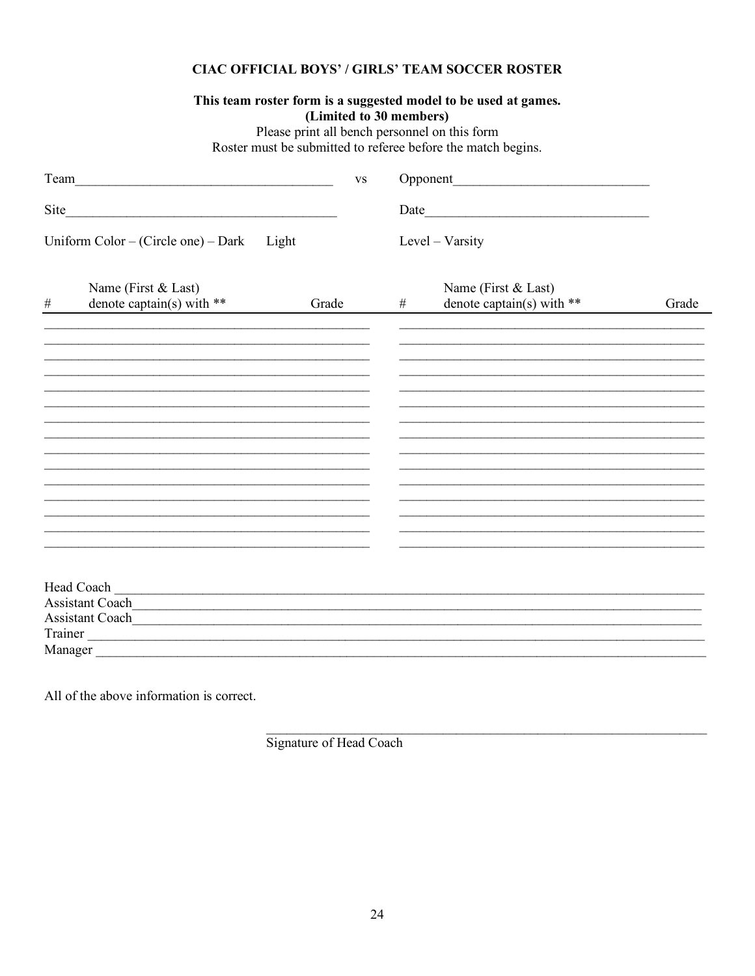# **CIAC OFFICIAL BOYS' / GIRLS' TEAM SOCCER ROSTER**

## This team roster form is a suggested model to be used at games. (Limited to 30 members)

Please print all bench personnel on this form<br>Roster must be submitted to referee before the match begins.

| Team |                                                                                                                                                                                                                                           |       | <b>VS</b> |  |   |                                                    |       |
|------|-------------------------------------------------------------------------------------------------------------------------------------------------------------------------------------------------------------------------------------------|-------|-----------|--|---|----------------------------------------------------|-------|
| Site |                                                                                                                                                                                                                                           |       |           |  |   |                                                    |       |
|      | Uniform $Color - (Circle one) - Dark$                                                                                                                                                                                                     | Light |           |  |   | Level – Varsity                                    |       |
| $\#$ | Name (First & Last)<br>denote captain(s) with $**$                                                                                                                                                                                        |       | Grade     |  | # | Name (First & Last)<br>denote captain(s) with $**$ | Grade |
|      |                                                                                                                                                                                                                                           |       |           |  |   |                                                    |       |
|      |                                                                                                                                                                                                                                           |       |           |  |   |                                                    |       |
|      |                                                                                                                                                                                                                                           |       |           |  |   |                                                    |       |
|      |                                                                                                                                                                                                                                           |       |           |  |   |                                                    |       |
|      |                                                                                                                                                                                                                                           |       |           |  |   |                                                    |       |
|      |                                                                                                                                                                                                                                           |       |           |  |   |                                                    |       |
|      |                                                                                                                                                                                                                                           |       |           |  |   |                                                    |       |
|      | Head Coach Land Coach                                                                                                                                                                                                                     |       |           |  |   |                                                    |       |
|      | Assistant Coach                                                                                                                                                                                                                           |       |           |  |   |                                                    |       |
|      | Trainer Lawrence and the contract of the contract of the contract of the contract of the contract of the contract of the contract of the contract of the contract of the contract of the contract of the contract of the contr<br>Manager |       |           |  |   |                                                    |       |

All of the above information is correct.

Signature of Head Coach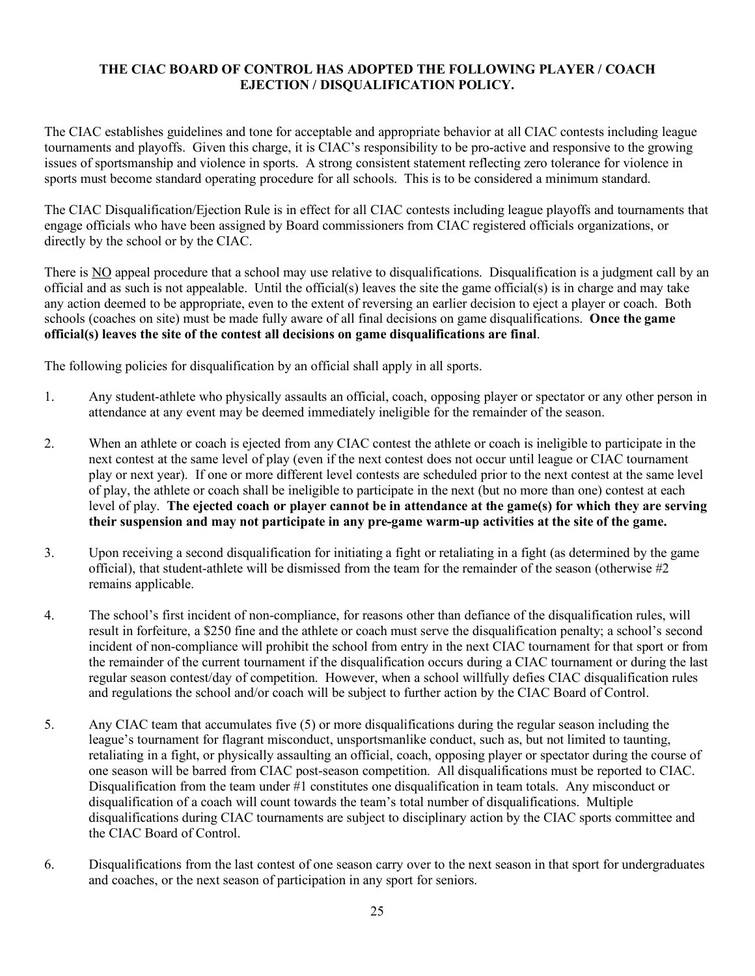# **THE CIAC BOARD OF CONTROL HAS ADOPTED THE FOLLOWING PLAYER / COACH EJECTION / DISQUALIFICATION POLICY.**

The CIAC establishes guidelines and tone for acceptable and appropriate behavior at all CIAC contests including league tournaments and playoffs. Given this charge, it is CIAC's responsibility to be pro-active and responsive to the growing issues of sportsmanship and violence in sports. A strong consistent statement reflecting zero tolerance for violence in sports must become standard operating procedure for all schools. This is to be considered a minimum standard.

The CIAC Disqualification/Ejection Rule is in effect for all CIAC contests including league playoffs and tournaments that engage officials who have been assigned by Board commissioners from CIAC registered officials organizations, or directly by the school or by the CIAC.

There is NO appeal procedure that a school may use relative to disqualifications. Disqualification is a judgment call by an official and as such is not appealable. Until the official(s) leaves the site the game official(s) is in charge and may take any action deemed to be appropriate, even to the extent of reversing an earlier decision to eject a player or coach. Both schools (coaches on site) must be made fully aware of all final decisions on game disqualifications. **Once the game official(s) leaves the site of the contest all decisions on game disqualifications are final**.

The following policies for disqualification by an official shall apply in all sports.

- 1. Any student-athlete who physically assaults an official, coach, opposing player or spectator or any other person in attendance at any event may be deemed immediately ineligible for the remainder of the season.
- 2. When an athlete or coach is ejected from any CIAC contest the athlete or coach is ineligible to participate in the next contest at the same level of play (even if the next contest does not occur until league or CIAC tournament play or next year). If one or more different level contests are scheduled prior to the next contest at the same level of play, the athlete or coach shall be ineligible to participate in the next (but no more than one) contest at each level of play. **The ejected coach or player cannot be in attendance at the game(s) for which they are serving their suspension and may not participate in any pre-game warm-up activities at the site of the game.**
- 3. Upon receiving a second disqualification for initiating a fight or retaliating in a fight (as determined by the game official), that student-athlete will be dismissed from the team for the remainder of the season (otherwise #2 remains applicable.
- 4. The school's first incident of non-compliance, for reasons other than defiance of the disqualification rules, will result in forfeiture, a \$250 fine and the athlete or coach must serve the disqualification penalty; a school's second incident of non-compliance will prohibit the school from entry in the next CIAC tournament for that sport or from the remainder of the current tournament if the disqualification occurs during a CIAC tournament or during the last regular season contest/day of competition. However, when a school willfully defies CIAC disqualification rules and regulations the school and/or coach will be subject to further action by the CIAC Board of Control.
- 5. Any CIAC team that accumulates five (5) or more disqualifications during the regular season including the league's tournament for flagrant misconduct, unsportsmanlike conduct, such as, but not limited to taunting, retaliating in a fight, or physically assaulting an official, coach, opposing player or spectator during the course of one season will be barred from CIAC post-season competition. All disqualifications must be reported to CIAC. Disqualification from the team under  $#1$  constitutes one disqualification in team totals. Any misconduct or disqualification of a coach will count towards the team's total number of disqualifications. Multiple disqualifications during CIAC tournaments are subject to disciplinary action by the CIAC sports committee and the CIAC Board of Control.
- 6. Disqualifications from the last contest of one season carry over to the next season in that sport for undergraduates and coaches, or the next season of participation in any sport for seniors.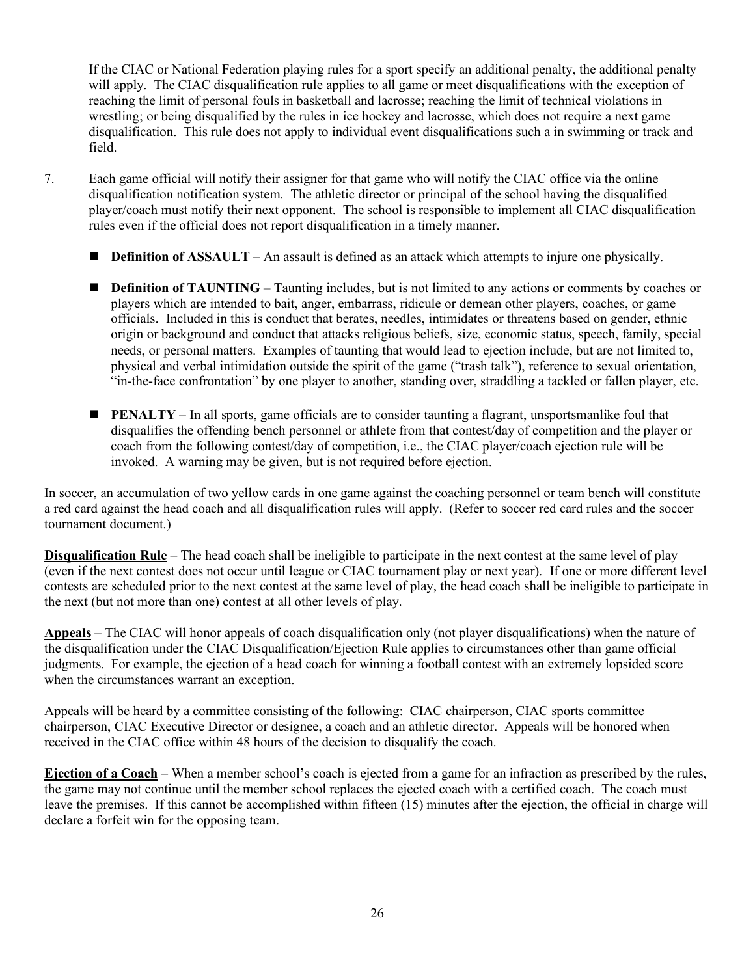If the CIAC or National Federation playing rules for a sport specify an additional penalty, the additional penalty will apply. The CIAC disqualification rule applies to all game or meet disqualifications with the exception of reaching the limit of personal fouls in basketball and lacrosse; reaching the limit of technical violations in wrestling; or being disqualified by the rules in ice hockey and lacrosse, which does not require a next game disqualification. This rule does not apply to individual event disqualifications such a in swimming or track and field.

- 7. Each game official will notify their assigner for that game who will notify the CIAC office via the online disqualification notification system. The athletic director or principal of the school having the disqualified player/coach must notify their next opponent. The school is responsible to implement all CIAC disqualification rules even if the official does not report disqualification in a timely manner.
	- **Definition of ASSAULT** An assault is defined as an attack which attempts to injure one physically.
	- **n Definition of TAUNTING** Taunting includes, but is not limited to any actions or comments by coaches or players which are intended to bait, anger, embarrass, ridicule or demean other players, coaches, or game officials. Included in this is conduct that berates, needles, intimidates or threatens based on gender, ethnic origin or background and conduct that attacks religious beliefs, size, economic status, speech, family, special needs, or personal matters. Examples of taunting that would lead to ejection include, but are not limited to, physical and verbal intimidation outside the spirit of the game ("trash talk"), reference to sexual orientation, "in-the-face confrontation" by one player to another, standing over, straddling a tackled or fallen player, etc.
	- **PENALTY** In all sports, game officials are to consider taunting a flagrant, unsportsmanlike foul that disqualifies the offending bench personnel or athlete from that contest/day of competition and the player or coach from the following contest/day of competition, i.e., the CIAC player/coach ejection rule will be invoked. A warning may be given, but is not required before ejection.

In soccer, an accumulation of two yellow cards in one game against the coaching personnel or team bench will constitute a red card against the head coach and all disqualification rules will apply. (Refer to soccer red card rules and the soccer tournament document.)

**Disqualification Rule** – The head coach shall be ineligible to participate in the next contest at the same level of play (even if the next contest does not occur until league or CIAC tournament play or next year). If one or more different level contests are scheduled prior to the next contest at the same level of play, the head coach shall be ineligible to participate in the next (but not more than one) contest at all other levels of play.

**Appeals** – The CIAC will honor appeals of coach disqualification only (not player disqualifications) when the nature of the disqualification under the CIAC Disqualification/Ejection Rule applies to circumstances other than game official judgments. For example, the ejection of a head coach for winning a football contest with an extremely lopsided score when the circumstances warrant an exception.

Appeals will be heard by a committee consisting of the following: CIAC chairperson, CIAC sports committee chairperson, CIAC Executive Director or designee, a coach and an athletic director. Appeals will be honored when received in the CIAC office within 48 hours of the decision to disqualify the coach.

**Ejection of a Coach** – When a member school's coach is ejected from a game for an infraction as prescribed by the rules, the game may not continue until the member school replaces the ejected coach with a certified coach. The coach must leave the premises. If this cannot be accomplished within fifteen (15) minutes after the ejection, the official in charge will declare a forfeit win for the opposing team.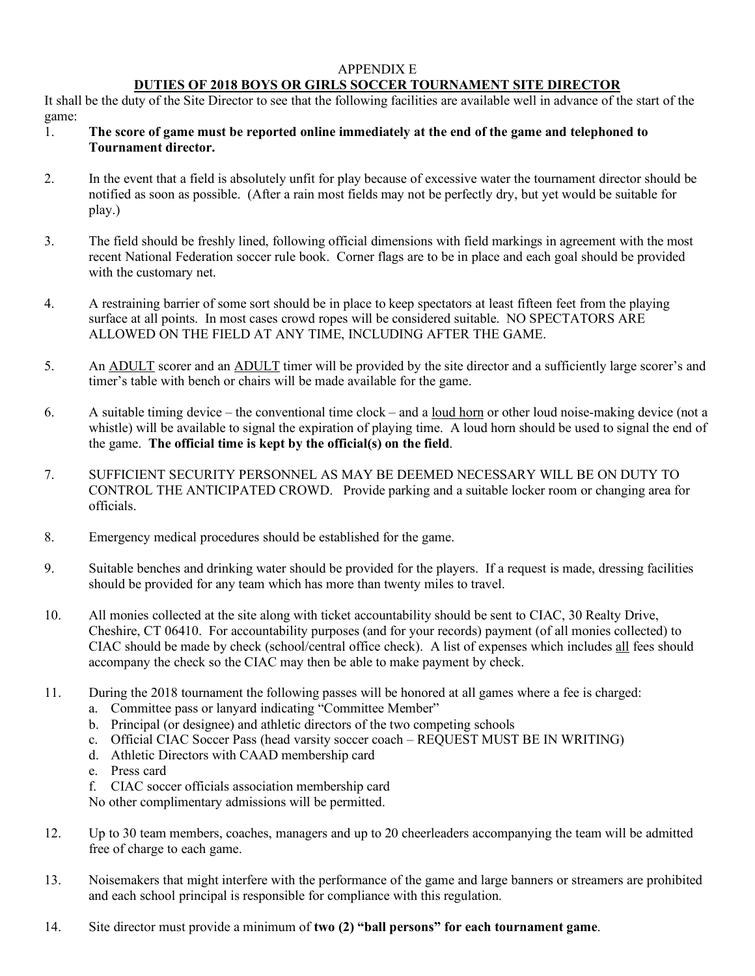#### APPENDIX E

# **DUTIES OF 2018 BOYS OR GIRLS SOCCER TOURNAMENT SITE DIRECTOR**

It shall be the duty of the Site Director to see that the following facilities are available well in advance of the start of the game:

- 1. **The score of game must be reported online immediately at the end of the game and telephoned to Tournament director.**
- 2. In the event that a field is absolutely unfit for play because of excessive water the tournament director should be notified as soon as possible. (After a rain most fields may not be perfectly dry, but yet would be suitable for play.)
- 3. The field should be freshly lined, following official dimensions with field markings in agreement with the most recent National Federation soccer rule book. Corner flags are to be in place and each goal should be provided with the customary net.
- 4. A restraining barrier of some sort should be in place to keep spectators at least fifteen feet from the playing surface at all points. In most cases crowd ropes will be considered suitable. NO SPECTATORS ARE ALLOWED ON THE FIELD AT ANY TIME, INCLUDING AFTER THE GAME.
- 5. An ADULT scorer and an ADULT timer will be provided by the site director and a sufficiently large scorer's and timer's table with bench or chairs will be made available for the game.
- 6. A suitable timing device the conventional time clock and a loud horn or other loud noise-making device (not a whistle) will be available to signal the expiration of playing time. A loud horn should be used to signal the end of the game. **The official time is kept by the official(s) on the field**.
- 7. SUFFICIENT SECURITY PERSONNEL AS MAY BE DEEMED NECESSARY WILL BE ON DUTY TO CONTROL THE ANTICIPATED CROWD. Provide parking and a suitable locker room or changing area for officials.
- 8. Emergency medical procedures should be established for the game.
- 9. Suitable benches and drinking water should be provided for the players. If a request is made, dressing facilities should be provided for any team which has more than twenty miles to travel.
- 10. All monies collected at the site along with ticket accountability should be sent to CIAC, 30 Realty Drive, Cheshire, CT 06410. For accountability purposes (and for your records) payment (of all monies collected) to CIAC should be made by check (school/central office check). A list of expenses which includes all fees should accompany the check so the CIAC may then be able to make payment by check.
- 11. During the 2018 tournament the following passes will be honored at all games where a fee is charged:
	- a. Committee pass or lanyard indicating "Committee Member"
	- b. Principal (or designee) and athletic directors of the two competing schools
	- c. Official CIAC Soccer Pass (head varsity soccer coach REQUEST MUST BE IN WRITING)
	- d. Athletic Directors with CAAD membership card
	- e. Press card
	- f. CIAC soccer officials association membership card

No other complimentary admissions will be permitted.

- 12. Up to 30 team members, coaches, managers and up to 20 cheerleaders accompanying the team will be admitted free of charge to each game.
- 13. Noisemakers that might interfere with the performance of the game and large banners or streamers are prohibited and each school principal is responsible for compliance with this regulation.
- 14. Site director must provide a minimum of **two (2) "ball persons" for each tournament game**.